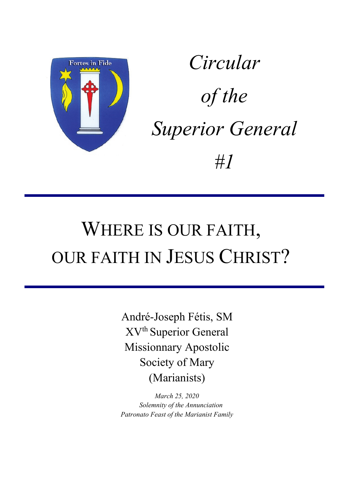

*Circular of the Superior General #1*

# WHERE IS OUR FAITH, OUR FAITH IN JESUS CHRIST?

André-Joseph Fétis, SM XVth Superior General Missionnary Apostolic Society of Mary (Marianists)

*March 25, 2020 Solemnity of the Annunciation Patronato Feast of the Marianist Family*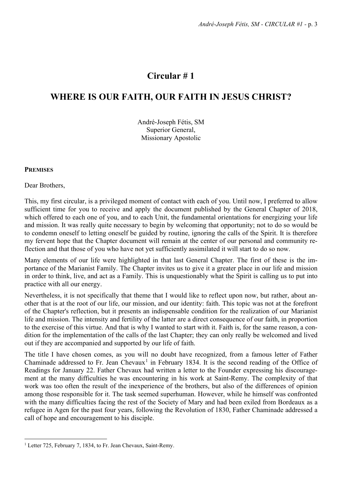# **Circular # 1**

# **WHERE IS OUR FAITH, OUR FAITH IN JESUS CHRIST?**

André-Joseph Fétis, SM Superior General, Missionary Apostolic

#### **PREMISES**

Dear Brothers,

This, my first circular, is a privileged moment of contact with each of you. Until now, I preferred to allow sufficient time for you to receive and apply the document published by the General Chapter of 2018, which offered to each one of you, and to each Unit, the fundamental orientations for energizing your life and mission. It was really quite necessary to begin by welcoming that opportunity; not to do so would be to condemn oneself to letting oneself be guided by routine, ignoring the calls of the Spirit. It is therefore my fervent hope that the Chapter document will remain at the center of our personal and community reflection and that those of you who have not yet sufficiently assimilated it will start to do so now.

Many elements of our life were highlighted in that last General Chapter. The first of these is the importance of the Marianist Family. The Chapter invites us to give it a greater place in our life and mission in order to think, live, and act as a Family. This is unquestionably what the Spirit is calling us to put into practice with all our energy.

Nevertheless, it is not specifically that theme that I would like to reflect upon now, but rather, about another that is at the root of our life, our mission, and our identity: faith. This topic was not at the forefront of the Chapter's reflection, but it presents an indispensable condition for the realization of our Marianist life and mission. The intensity and fertility of the latter are a direct consequence of our faith, in proportion to the exercise of this virtue. And that is why I wanted to start with it. Faith is, for the same reason, a condition for the implementation of the calls of the last Chapter; they can only really be welcomed and lived out if they are accompanied and supported by our life of faith.

The title I have chosen comes, as you will no doubt have recognized, from a famous letter of Father Chaminade addressed to Fr. Jean Chevaux<sup>[1](#page-2-0)</sup> in February 1834. It is the second reading of the Office of Readings for January 22. Father Chevaux had written a letter to the Founder expressing his discouragement at the many difficulties he was encountering in his work at Saint-Remy. The complexity of that work was too often the result of the inexperience of the brothers, but also of the differences of opinion among those responsible for it. The task seemed superhuman. However, while he himself was confronted with the many difficulties facing the rest of the Society of Mary and had been exiled from Bordeaux as a refugee in Agen for the past four years, following the Revolution of 1830, Father Chaminade addressed a call of hope and encouragement to his disciple.

<span id="page-2-0"></span><sup>&</sup>lt;sup>1</sup> Letter 725, February 7, 1834, to Fr. Jean Chevaux, Saint-Remy.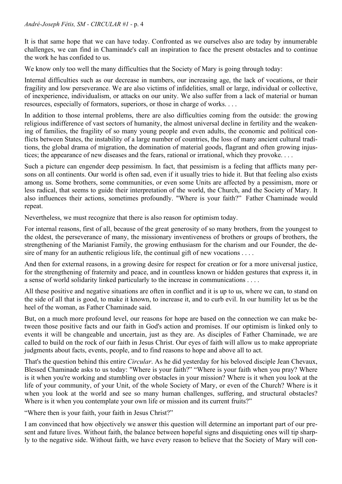It is that same hope that we can have today. Confronted as we ourselves also are today by innumerable challenges, we can find in Chaminade's call an inspiration to face the present obstacles and to continue the work he has confided to us.

We know only too well the many difficulties that the Society of Mary is going through today:

Internal difficulties such as our decrease in numbers, our increasing age, the lack of vocations, or their fragility and low perseverance. We are also victims of infidelities, small or large, individual or collective, of inexperience, individualism, or attacks on our unity. We also suffer from a lack of material or human resources, especially of formators, superiors, or those in charge of works. . . .

In addition to those internal problems, there are also difficulties coming from the outside: the growing religious indifference of vast sectors of humanity, the almost universal decline in fertility and the weakening of families, the fragility of so many young people and even adults, the economic and political conflicts between States, the instability of a large number of countries, the loss of many ancient cultural traditions, the global drama of migration, the domination of material goods, flagrant and often growing injustices; the appearance of new diseases and the fears, rational or irrational, which they provoke. . . .

Such a picture can engender deep pessimism. In fact, that pessimism is a feeling that afflicts many persons on all continents. Our world is often sad, even if it usually tries to hide it. But that feeling also exists among us. Some brothers, some communities, or even some Units are affected by a pessimism, more or less radical, that seems to guide their interpretation of the world, the Church, and the Society of Mary. It also influences their actions, sometimes profoundly. "Where is your faith?" Father Chaminade would repeat.

Nevertheless, we must recognize that there is also reason for optimism today.

For internal reasons, first of all, because of the great generosity of so many brothers, from the youngest to the oldest, the perseverance of many, the missionary inventiveness of brothers or groups of brothers, the strengthening of the Marianist Family, the growing enthusiasm for the charism and our Founder, the desire of many for an authentic religious life, the continual gift of new vocations . . . .

And then for external reasons, in a growing desire for respect for creation or for a more universal justice, for the strengthening of fraternity and peace, and in countless known or hidden gestures that express it, in a sense of world solidarity linked particularly to the increase in communications . . . .

All these positive and negative situations are often in conflict and it is up to us, where we can, to stand on the side of all that is good, to make it known, to increase it, and to curb evil. In our humility let us be the heel of the woman, as Father Chaminade said.

But, on a much more profound level, our reasons for hope are based on the connection we can make between those positive facts and our faith in God's action and promises. If our optimism is linked only to events it will be changeable and uncertain, just as they are. As disciples of Father Chaminade, we are called to build on the rock of our faith in Jesus Christ. Our eyes of faith will allow us to make appropriate judgments about facts, events, people, and to find reasons to hope and above all to act.

That's the question behind this entire *Circular*. As he did yesterday for his beloved disciple Jean Chevaux, Blessed Chaminade asks to us today: "Where is your faith?" "Where is your faith when you pray? Where is it when you're working and stumbling over obstacles in your mission? Where is it when you look at the life of your community, of your Unit, of the whole Society of Mary, or even of the Church? Where is it when you look at the world and see so many human challenges, suffering, and structural obstacles? Where is it when you contemplate your own life or mission and its current fruits?"

"Where then is your faith, your faith in Jesus Christ?"

I am convinced that how objectively we answer this question will determine an important part of our present and future lives. Without faith, the balance between hopeful signs and disquieting ones will tip sharply to the negative side. Without faith, we have every reason to believe that the Society of Mary will con-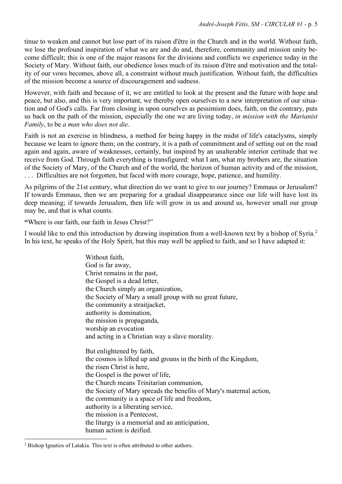tinue to weaken and cannot but lose part of its raison d'être in the Church and in the world. Without faith, we lose the profound inspiration of what we are and do and, therefore, community and mission unity become difficult; this is one of the major reasons for the divisions and conflicts we experience today in the Society of Mary. Without faith, our obedience loses much of its raison d'être and motivation and the totality of our vows becomes, above all, a constraint without much justification. Without faith, the difficulties of the mission become a source of discouragement and sadness.

However, with faith and because of it, we are entitled to look at the present and the future with hope and peace, but also, and this is very important, we thereby open ourselves to a new interpretation of our situation and of God's calls. Far from closing in upon ourselves as pessimism does, faith, on the contrary, puts us back on the path of the mission, especially the one we are living today, *in mission with the Marianist Family*, to be *a man who does not die*.

Faith is not an exercise in blindness, a method for being happy in the midst of life's cataclysms, simply because we learn to ignore them; on the contrary, it is a path of commitment and of setting out on the road again and again, aware of weaknesses, certainly, but inspired by an unalterable interior certitude that we receive from God. Through faith everything is transfigured: what I am, what my brothers are, the situation of the Society of Mary, of the Church and of the world, the horizon of human activity and of the mission, . . . Difficulties are not forgotten, but faced with more courage, hope, patience, and humility.

As pilgrims of the 21st century, what direction do we want to give to our journey? Emmaus or Jerusalem? If towards Emmaus, then we are preparing for a gradual disappearance since our life will have lost its deep meaning; if towards Jerusalem, then life will grow in us and around us, however small our group may be, and that is what counts.

**"**Where is our faith, our faith in Jesus Christ?"

I would like to end this introduction by drawing inspiration from a well-known text by a bishop of Syria.<sup>[2](#page-4-0)</sup> In his text, he speaks of the Holy Spirit, but this may well be applied to faith, and so I have adapted it:

> Without faith, God is far away, Christ remains in the past, the Gospel is a dead letter, the Church simply an organization, the Society of Mary a small group with no great future, the community a straitjacket, authority is domination, the mission is propaganda, worship an evocation and acting in a Christian way a slave morality. But enlightened by faith, the cosmos is lifted up and groans in the birth of the Kingdom, the risen Christ is here, the Gospel is the power of life, the Church means Trinitarian communion, the Society of Mary spreads the benefits of Mary's maternal action, the community is a space of life and freedom, authority is a liberating service, the mission is a Pentecost, the liturgy is a memorial and an anticipation, human action is deified.

<span id="page-4-0"></span><sup>&</sup>lt;sup>2</sup> Bishop Ignatios of Latakia. This text is often attributed to other authors.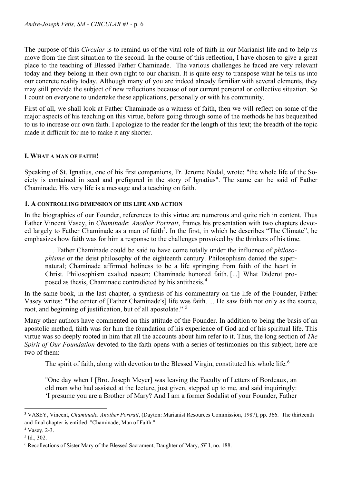The purpose of this *Circular* is to remind us of the vital role of faith in our Marianist life and to help us move from the first situation to the second. In the course of this reflection, I have chosen to give a great place to the teaching of Blessed Father Chaminade. The various challenges he faced are very relevant today and they belong in their own right to our charism. It is quite easy to transpose what he tells us into our concrete reality today. Although many of you are indeed already familiar with several elements, they may still provide the subject of new reflections because of our current personal or collective situation. So I count on everyone to undertake these applications, personally or with his community.

First of all, we shall look at Father Chaminade as a witness of faith, then we will reflect on some of the major aspects of his teaching on this virtue, before going through some of the methods he has bequeathed to us to increase our own faith. I apologize to the reader for the length of this text; the breadth of the topic made it difficult for me to make it any shorter.

# **I. WHAT A MAN OF FAITH!**

Speaking of St. Ignatius, one of his first companions, Fr. Jerome Nadal, wrote: "the whole life of the Society is contained in seed and prefigured in the story of Ignatius". The same can be said of Father Chaminade. His very life is a message and a teaching on faith.

## **1. A CONTROLLING DIMENSION OF HIS LIFE AND ACTION**

In the biographies of our Founder, references to this virtue are numerous and quite rich in content. Thus Father Vincent Vasey, in *Chaminade*: *Another Portrait*, frames his presentation with two chapters devot-ed largely to Father Chaminade as a man of faith<sup>[3](#page-5-0)</sup>. In the first, in which he describes "The Climate", he emphasizes how faith was for him a response to the challenges provoked by the thinkers of his time.

. . . Father Chaminade could be said to have come totally under the influence of *philosophisme* or the deist philosophy of the eighteenth century. Philosophism denied the supernatural; Chaminade affirmed holiness to be a life springing from faith of the heart in Christ. Philosophism exalted reason; Chaminade honored faith. [...] What Diderot proposed as thesis, Chaminade contradicted by his antithesis.[4](#page-5-1)

In the same book, in the last chapter, a synthesis of his commentary on the life of the Founder, Father Vasey writes: "The center of [Father Chaminade's] life was faith. ... He saw faith not only as the source, root, and beginning of justification, but of all apostolate." [5](#page-5-2)

Many other authors have commented on this attitude of the Founder. In addition to being the basis of an apostolic method, faith was for him the foundation of his experience of God and of his spiritual life. This virtue was so deeply rooted in him that all the accounts about him refer to it. Thus, the long section of *The Spirit of Our Foundation* devoted to the faith opens with a series of testimonies on this subject; here are two of them:

The spirit of faith, along with devotion to the Blessed Virgin, constituted his whole life.<sup>[6](#page-5-3)</sup>

"One day when I [Bro. Joseph Meyer] was leaving the Faculty of Letters of Bordeaux, an old man who had assisted at the lecture, just given, stepped up to me, and said inquiringly: 'I presume you are a Brother of Mary? And I am a former Sodalist of your Founder, Father

<span id="page-5-0"></span><sup>3</sup> VASEY, Vincent, *Chaminade. Another Portrait*, (Dayton: Marianist Resources Commission, 1987), pp. 366. The thirteenth and final chapter is entitled: "Chaminade, Man of Faith."

<span id="page-5-1"></span><sup>4</sup> Vasey, 2-3.

<span id="page-5-2"></span> $5$  Id., 302.

<span id="page-5-3"></span><sup>6</sup> Recollections of Sister Mary of the Blessed Sacrament, Daughter of Mary, *SF* I, no. 188.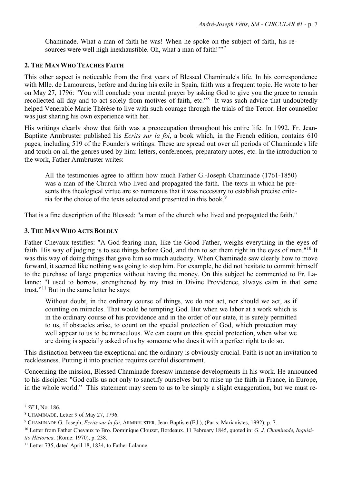Chaminade. What a man of faith he was! When he spoke on the subject of faith, his re-sources were well nigh inexhaustible. Oh, what a man of faith!"<sup>[7](#page-6-0)</sup>

#### **2. THE MAN WHO TEACHES FAITH**

This other aspect is noticeable from the first years of Blessed Chaminade's life. In his correspondence with Mlle. de Lamourous, before and during his exile in Spain, faith was a frequent topic. He wrote to her on May 27, 1796: "You will conclude your mental prayer by asking God to give you the grace to remain recollected all day and to act solely from motives of faith, etc."<sup>[8](#page-6-1)</sup> It was such advice that undoubtedly helped Venerable Marie Thérèse to live with such courage through the trials of the Terror. Her counsellor was just sharing his own experience with her.

His writings clearly show that faith was a preoccupation throughout his entire life. In 1992, Fr. Jean-Baptiste Armbruster published his *Ecrits sur la foi*, a book which, in the French edition, contains 610 pages, including 519 of the Founder's writings. These are spread out over all periods of Chaminade's life and touch on all the genres used by him: letters, conferences, preparatory notes, etc. In the introduction to the work, Father Armbruster writes:

All the testimonies agree to affirm how much Father G.-Joseph Chaminade (1761-1850) was a man of the Church who lived and propagated the faith. The texts in which he presents this theological virtue are so numerous that it was necessary to establish precise crite-ria for the choice of the texts selected and presented in this book.<sup>[9](#page-6-2)</sup>

That is a fine description of the Blessed: "a man of the church who lived and propagated the faith."

## **3. THE MAN WHO ACTS BOLDLY**

Father Chevaux testifies: "A God-fearing man, like the Good Father, weighs everything in the eyes of faith. His way of judging is to see things before God, and then to set them right in the eyes of men."[10](#page-6-3) It was this way of doing things that gave him so much audacity. When Chaminade saw clearly how to move forward, it seemed like nothing was going to stop him. For example, he did not hesitate to commit himself to the purchase of large properties without having the money. On this subject he commented to Fr. Lalanne: "I used to borrow, strengthened by my trust in Divine Providence, always calm in that same trust."<sup>[11](#page-6-4)</sup> But in the same letter he says:

Without doubt, in the ordinary course of things, we do not act, nor should we act, as if counting on miracles. That would be tempting God. But when we labor at a work which is in the ordinary course of his providence and in the order of our state, it is surely permitted to us, if obstacles arise, to count on the special protection of God, which protection may well appear to us to be miraculous. We can count on this special protection, when what we are doing is specially asked of us by someone who does it with a perfect right to do so.

This distinction between the exceptional and the ordinary is obviously crucial. Faith is not an invitation to recklessness. Putting it into practice requires careful discernment.

Concerning the mission, Blessed Chaminade foresaw immense developments in his work. He announced to his disciples: "God calls us not only to sanctify ourselves but to raise up the faith in France, in Europe, in the whole world." This statement may seem to us to be simply a slight exaggeration, but we must re-

<span id="page-6-0"></span><sup>7</sup> *SF* I, No. 186.

<span id="page-6-1"></span><sup>&</sup>lt;sup>8</sup> CHAMINADE, Letter 9 of May 27, 1796.<br><sup>9</sup> CHAMINADE G.-Joseph, *Ecrits sur la foi*, ARMBRUSTER, Jean-Baptiste (Ed.), (Paris: Marianistes, 1992), p. 7.

<span id="page-6-3"></span><span id="page-6-2"></span><sup>10</sup> Letter from Father Chevaux to Bro. Dominique Clouzet, Bordeaux, 11 February 1845, quoted in: *G. J. Chaminade, Inquisitio Historica,* (Rome: 1970), p. 238.<br><sup>11</sup> Letter 735, dated April 18, 1834, to Father Lalanne.

<span id="page-6-4"></span>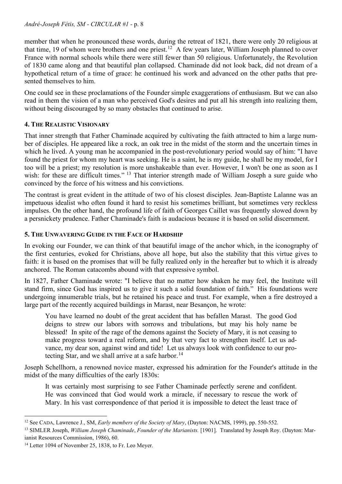member that when he pronounced these words, during the retreat of 1821, there were only 20 religious at that time, 19 of whom were brothers and one priest.<sup>[12](#page-7-0)</sup> A few years later, William Joseph planned to cover France with normal schools while there were still fewer than 50 religious. Unfortunately, the Revolution of 1830 came along and that beautiful plan collapsed. Chaminade did not look back, did not dream of a hypothetical return of a time of grace: he continued his work and advanced on the other paths that presented themselves to him.

One could see in these proclamations of the Founder simple exaggerations of enthusiasm. But we can also read in them the vision of a man who perceived God's desires and put all his strength into realizing them, without being discouraged by so many obstacles that continued to arise.

# **4. THE REALISTIC VISIONARY**

That inner strength that Father Chaminade acquired by cultivating the faith attracted to him a large number of disciples. He appeared like a rock, an oak tree in the midst of the storm and the uncertain times in which he lived. A young man he accompanied in the post-revolutionary period would say of him: "I have found the priest for whom my heart was seeking. He is a saint, he is my guide, he shall be my model, for I too will be a priest; my resolution is more unshakeable than ever. However, I won't be one as soon as I wish: for these are difficult times." <sup>[13](#page-7-1)</sup> That interior strength made of William Joseph a sure guide who convinced by the force of his witness and his convictions.

The contrast is great evident in the attitude of two of his closest disciples. Jean-Baptiste Lalanne was an impetuous idealist who often found it hard to resist his sometimes brilliant, but sometimes very reckless impulses. On the other hand, the profound life of faith of Georges Caillet was frequently slowed down by a persnickety prudence. Father Chaminade's faith is audacious because it is based on solid discernment.

# **5. THE UNWAVERING GUIDE IN THE FACE OF HARDSHIP**

In evoking our Founder, we can think of that beautiful image of the anchor which, in the iconography of the first centuries, evoked for Christians, above all hope, but also the stability that this virtue gives to faith: it is based on the promises that will be fully realized only in the hereafter but to which it is already anchored. The Roman catacombs abound with that expressive symbol.

In 1827, Father Chaminade wrote: "I believe that no matter how shaken he may feel, the Institute will stand firm, since God has inspired us to give it such a solid foundation of faith." His foundations were undergoing innumerable trials, but he retained his peace and trust. For example, when a fire destroyed a large part of the recently acquired buildings in Marast, near Besançon, he wrote:

You have learned no doubt of the great accident that has befallen Marast. The good God deigns to strew our labors with sorrows and tribulations, but may his holy name be blessed! In spite of the rage of the demons against the Society of Mary, it is not ceasing to make progress toward a real reform, and by that very fact to strengthen itself. Let us advance, my dear son, against wind and tide! Let us always look with confidence to our pro-tecting Star, and we shall arrive at a safe harbor.<sup>[14](#page-7-2)</sup>

Joseph Schellhorn, a renowned novice master, expressed his admiration for the Founder's attitude in the midst of the many difficulties of the early 1830s:

It was certainly most surprising to see Father Chaminade perfectly serene and confident. He was convinced that God would work a miracle, if necessary to rescue the work of Mary. In his vast correspondence of that period it is impossible to detect the least trace of

<span id="page-7-0"></span><sup>12</sup> See CADA, Lawrence J., SM, *Early members of the Society of Mary*, (Dayton: NACMS, 1999), pp. 550-552.

<span id="page-7-1"></span><sup>13</sup> SIMLER Joseph, *William Joseph Chaminade*, *Founder of the Marianists.* [1901]. Translated by Joseph Roy. (Dayton: Marianist Resources Commission, 1986), 60.

<span id="page-7-2"></span><sup>&</sup>lt;sup>14</sup> Letter 1094 of November 25, 1838, to Fr. Leo Meyer.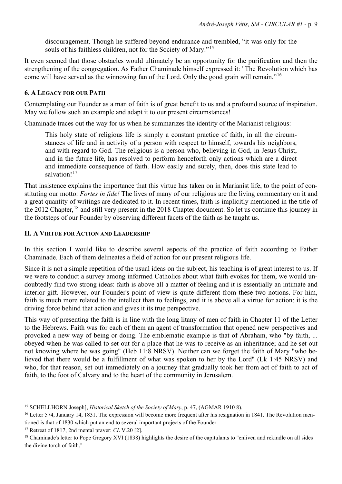discouragement. Though he suffered beyond endurance and trembled, "it was only for the souls of his faithless children, not for the Society of Mary."<sup>[15](#page-8-0)</sup>

It even seemed that those obstacles would ultimately be an opportunity for the purification and then the strengthening of the congregation. As Father Chaminade himself expressed it: "The Revolution which has come will have served as the winnowing fan of the Lord. Only the good grain will remain."[16](#page-8-1)

#### **6. A LEGACY FOR OUR PATH**

Contemplating our Founder as a man of faith is of great benefit to us and a profound source of inspiration. May we follow such an example and adapt it to our present circumstances!

Chaminade traces out the way for us when he summarizes the identity of the Marianist religious:

This holy state of religious life is simply a constant practice of faith, in all the circumstances of life and in activity of a person with respect to himself, towards his neighbors, and with regard to God. The religious is a person who, believing in God, in Jesus Christ, and in the future life, has resolved to perform henceforth only actions which are a direct and immediate consequence of faith. How easily and surely, then, does this state lead to salvation!<sup>[17](#page-8-2)</sup>

That insistence explains the importance that this virtue has taken on in Marianist life, to the point of constituting our motto: *Fortes in fide!* The lives of many of our religious are the living commentary on it and a great quantity of writings are dedicated to it. In recent times, faith is implicitly mentioned in the title of the 2012 Chapter,<sup>[18](#page-8-3)</sup> and still very present in the 2018 Chapter document. So let us continue this journey in the footsteps of our Founder by observing different facets of the faith as he taught us.

## **II. A VIRTUE FOR ACTION AND LEADERSHIP**

In this section I would like to describe several aspects of the practice of faith according to Father Chaminade. Each of them delineates a field of action for our present religious life.

Since it is not a simple repetition of the usual ideas on the subject, his teaching is of great interest to us. If we were to conduct a survey among informed Catholics about what faith evokes for them, we would undoubtedly find two strong ideas: faith is above all a matter of feeling and it is essentially an intimate and interior gift. However, our Founder's point of view is quite different from these two notions. For him, faith is much more related to the intellect than to feelings, and it is above all a virtue for action: it is the driving force behind that action and gives it its true perspective.

This way of presenting the faith is in line with the long litany of men of faith in Chapter 11 of the Letter to the Hebrews. Faith was for each of them an agent of transformation that opened new perspectives and provoked a new way of being or doing. The emblematic example is that of Abraham, who "by faith, ... obeyed when he was called to set out for a place that he was to receive as an inheritance; and he set out not knowing where he was going" (Heb 11:8 NRSV). Neither can we forget the faith of Mary "who believed that there would be a fulfillment of what was spoken to her by the Lord" (Lk 1:45 NRSV) and who, for that reason, set out immediately on a journey that gradually took her from act of faith to act of faith, to the foot of Calvary and to the heart of the community in Jerusalem.

<span id="page-8-0"></span><sup>15</sup> SCHELLHORN Joseph], *Historical Sketch of the Society of Mary*, p. 47, (AGMAR 1910 8).

<span id="page-8-1"></span><sup>&</sup>lt;sup>16</sup> Letter 574, January 14, 1831. The expression will become more frequent after his resignation in 1841. The Revolution mentioned is that of 1830 which put an end to several important projects of the Founder.

<span id="page-8-2"></span><sup>17</sup> Retreat of 1817, 2nd mental prayer: *CL* V.20 [2].

<span id="page-8-3"></span><sup>&</sup>lt;sup>18</sup> Chaminade's letter to Pope Gregory XVI (1838) highlights the desire of the capitulants to "enliven and rekindle on all sides the divine torch of faith."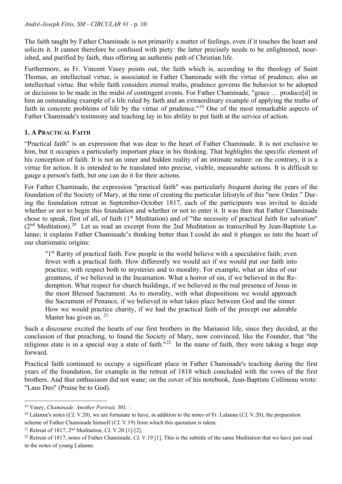The faith taught by Father Chaminade is not primarily a matter of feelings, even if it touches the heart and solicits it. It cannot therefore be confused with piety: the latter precisely needs to be enlightened, nourished, and purified by faith, thus offering an authentic path of Christian life.

Furthermore, as Fr. Vincent Vasey points out, the faith which is, according to the theology of Saint Thomas, an intellectual virtue, is associated in Father Chaminade with the virtue of prudence, also an intellectual virtue. But while faith considers eternal truths, prudence governs the behavior to be adopted or decisions to be made in the midst of contingent events. For Father Chaminade, "grace … produce[d] in him an outstanding example of a life ruled by faith and an extraordinary example of applying the truths of faith in concrete problems of life by the virtue of prudence."[19](#page-9-0) One of the most remarkable aspects of Father Chaminade's testimony and teaching lay in his ability to put faith at the service of action.

## **1. A PRACTICAL FAITH**

"Practical faith" is an expression that was dear to the heart of Father Chaminade. It is not exclusive to him, but it occupies a particularly important place in his thinking. That highlights the specific element of his conception of faith. It is not an inner and hidden reality of an intimate nature: on the contrary, it is a virtue for action. It is intended to be translated into precise, visible, measurable actions. It is difficult to gauge a person's faith, but one can do it for their actions.

For Father Chaminade, the expression "practical faith" was particularly frequent during the years of the foundation of the Society of Mary, at the time of creating the particular lifestyle of this "new Order." During the foundation retreat in September-October 1817, each of the participants was invited to decide whether or not to begin this foundation and whether or not to enter it. It was then that Father Chaminade chose to speak, first of all, of faith (1<sup>st</sup> Meditation) and of "the necessity of practical faith for salvation"  $(2<sup>nd</sup> Meditation)<sup>20</sup>$  Let us read an excerpt from the 2nd Meditation as transcribed by Jean-Baptiste Lalanne; it explains Father Chaminade's thinking better than I could do and it plunges us into the heart of our charismatic origins:

"1<sup>st</sup> Rarity of practical faith. Few people in the world believe with a speculative faith; even fewer with a practical faith. How differently we would act if we would put our faith into practice, with respect both to mysteries and to morality. For example, what an idea of our greatness, if we believed in the Incarnation. What a horror of sin, if we believed in the Redemption. What respect for church buildings, if we believed in the real presence of Jesus in the most Blessed Sacrament. As to morality, with what dispositions we would approach the Sacrament of Penance, if we believed in what takes place between God and the sinner. How we would practice charity, if we had the practical faith of the precept our adorable Master has given us.  $21$ 

Such a discourse excited the hearts of our first brothers in the Marianist life, since they decided, at the conclusion of that preaching, to found the Society of Mary, now convinced, like the Founder, that "the religious state is in a special way a state of faith."<sup>22</sup> In the name of faith, they were taking a huge step forward.

Practical faith continued to occupy a significant place in Father Chaminade's teaching during the first years of the foundation, for example in the retreat of 1818 which concluded with the vows of the first brothers. And that enthusiasm did not wane; on the cover of his notebook, Jean-Baptiste Collineau wrote: "Laus Deo" (Praise be to God).

<span id="page-9-2"></span><sup>21</sup> Retreat of 1817, 2nd Meditation, *CL* V.20 [1]-[2].

<span id="page-9-1"></span><span id="page-9-0"></span><sup>&</sup>lt;sup>19</sup> Vasey, *Chaminade. Another Portrait*, 301. :<br><sup>20</sup> Lalanne's notes (*CL* V.20), we are fortunate to have, in addition to the notes of Fr. Lalanne (*CL* V.20), the preparation scheme of Father Chaminade himself (*CL* V.19) from which this quotation is taken.

<span id="page-9-3"></span><sup>22</sup> Retreat of 1817, notes of Father Chaminade, *CL* V.19 [1]. This is the subtitle of the same Meditation that we have just read in the notes of young Lalanne.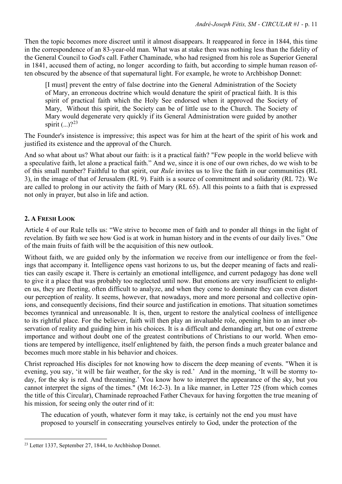Then the topic becomes more discreet until it almost disappears. It reappeared in force in 1844, this time in the correspondence of an 83-year-old man. What was at stake then was nothing less than the fidelity of the General Council to God's call. Father Chaminade, who had resigned from his role as Superior General in 1841, accused them of acting, no longer according to faith, but according to simple human reason often obscured by the absence of that supernatural light. For example, he wrote to Archbishop Donnet:

[I must] prevent the entry of false doctrine into the General Administration of the Society of Mary, an erroneous doctrine which would denature the spirit of practical faith. It is this spirit of practical faith which the Holy See endorsed when it approved the Society of Mary, Without this spirit, the Society can be of little use to the Church. The Society of Mary would degenerate very quickly if its General Administration were guided by another spirit  $($ ... $)$ ?<sup>[23](#page-10-0)</sup>

The Founder's insistence is impressive; this aspect was for him at the heart of the spirit of his work and justified its existence and the approval of the Church.

And so what about us? What about our faith: is it a practical faith? "Few people in the world believe with a speculative faith, let alone a practical faith." And we, since it is one of our own riches, do we wish to be of this small number? Faithful to that spirit, our *Rule* invites us to live the faith in our communities (RL 3), in the image of that of Jerusalem (RL 9). Faith is a source of commitment and solidarity (RL 72). We are called to prolong in our activity the faith of Mary (RL 65). All this points to a faith that is expressed not only in prayer, but also in life and action.

# **2. A FRESH LOOK**

Article 4 of our Rule tells us: "We strive to become men of faith and to ponder all things in the light of revelation. By faith we see how God is at work in human history and in the events of our daily lives." One of the main fruits of faith will be the acquisition of this new outlook.

Without faith, we are guided only by the information we receive from our intelligence or from the feelings that accompany it. Intelligence opens vast horizons to us, but the deeper meaning of facts and realities can easily escape it. There is certainly an emotional intelligence, and current pedagogy has done well to give it a place that was probably too neglected until now. But emotions are very insufficient to enlighten us, they are fleeting, often difficult to analyze, and when they come to dominate they can even distort our perception of reality. It seems, however, that nowadays, more and more personal and collective opinions, and consequently decisions, find their source and justification in emotions. That situation sometimes becomes tyrannical and unreasonable. It is, then, urgent to restore the analytical coolness of intelligence to its rightful place. For the believer, faith will then play an invaluable role, opening him to an inner observation of reality and guiding him in his choices. It is a difficult and demanding art, but one of extreme importance and without doubt one of the greatest contributions of Christians to our world. When emotions are tempered by intelligence, itself enlightened by faith, the person finds a much greater balance and becomes much more stable in his behavior and choices.

Christ reproached His disciples for not knowing how to discern the deep meaning of events. "When it is evening, you say, 'it will be fair weather, for the sky is red.' And in the morning, 'It will be stormy today, for the sky is red. And threatening.' You know how to interpret the appearance of the sky, but you cannot interpret the signs of the times." (Mt 16:2-3). In a like manner, in Letter 725 (from which comes the title of this Circular), Chaminade reproached Father Chevaux for having forgotten the true meaning of his mission, for seeing only the outer rind of it:

The education of youth, whatever form it may take, is certainly not the end you must have proposed to yourself in consecrating yourselves entirely to God, under the protection of the

<span id="page-10-0"></span><sup>23</sup> Letter 1337, September 27, 1844, to Archbishop Donnet.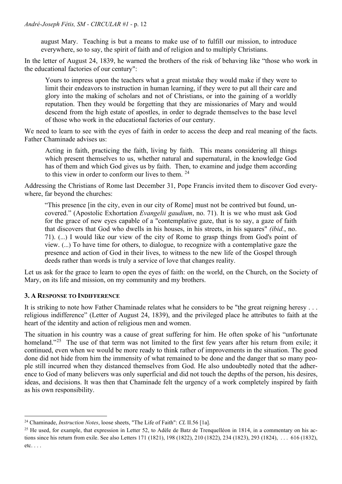august Mary. Teaching is but a means to make use of to fulfill our mission, to introduce everywhere, so to say, the spirit of faith and of religion and to multiply Christians.

In the letter of August 24, 1839, he warned the brothers of the risk of behaving like "those who work in the educational factories of our century":

Yours to impress upon the teachers what a great mistake they would make if they were to limit their endeavors to instruction in human learning, if they were to put all their care and glory into the making of scholars and not of Christians, or into the gaining of a worldly reputation. Then they would be forgetting that they are missionaries of Mary and would descend from the high estate of apostles, in order to degrade themselves to the base level of those who work in the educational factories of our century.

We need to learn to see with the eyes of faith in order to access the deep and real meaning of the facts. Father Chaminade advises us:

Acting in faith, practicing the faith, living by faith. This means considering all things which present themselves to us, whether natural and supernatural, in the knowledge God has of them and which God gives us by faith. Then, to examine and judge them according to this view in order to conform our lives to them. [24](#page-11-0)

Addressing the Christians of Rome last December 31, Pope Francis invited them to discover God everywhere, far beyond the churches:

"This presence [in the city, even in our city of Rome] must not be contrived but found, uncovered." (Apostolic Exhortation *Evangelii gaudium*, no. 71). It is we who must ask God for the grace of new eyes capable of a "contemplative gaze, that is to say, a gaze of faith that discovers that God who dwells in his houses, in his streets, in his squares" *(ibid.*, no. 71). (...) I would like our view of the city of Rome to grasp things from God's point of view. (...) To have time for others, to dialogue, to recognize with a contemplative gaze the presence and action of God in their lives, to witness to the new life of the Gospel through deeds rather than words is truly a service of love that changes reality.

Let us ask for the grace to learn to open the eyes of faith: on the world, on the Church, on the Society of Mary, on its life and mission, on my community and my brothers.

## **3. A RESPONSE TO INDIFFERENCE**

It is striking to note how Father Chaminade relates what he considers to be "the great reigning heresy . . . religious indifference" (Letter of August 24, 1839), and the privileged place he attributes to faith at the heart of the identity and action of religious men and women.

The situation in his country was a cause of great suffering for him. He often spoke of his "unfortunate homeland."<sup>25</sup> The use of that term was not limited to the first few years after his return from exile; it continued, even when we would be more ready to think rather of improvements in the situation. The good done did not hide from him the immensity of what remained to be done and the danger that so many people still incurred when they distanced themselves from God. He also undoubtedly noted that the adherence to God of many believers was only superficial and did not touch the depths of the person, his desires, ideas, and decisions. It was then that Chaminade felt the urgency of a work completely inspired by faith as his own responsibility.

<span id="page-11-0"></span><sup>24</sup> Chaminade, *Instruction Notes*, loose sheets, "The Life of Faith": *CL* II.56 [1a].

<span id="page-11-1"></span> $25$  He used, for example, that expression in Letter 52, to Adèle de Batz de Trenquelléon in 1814, in a commentary on his actions since his return from exile. See also Letters 171 (1821), 198 (1822), 210 (1822), 234 (1823), 293 (1824), . . . 616 (1832), etc. . . .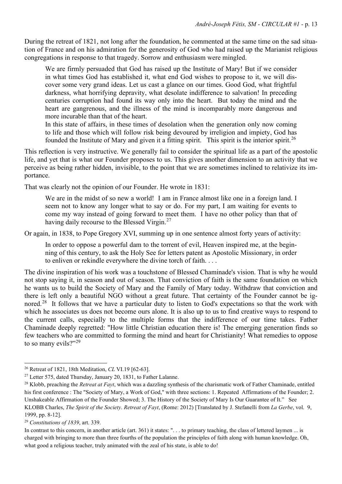During the retreat of 1821, not long after the foundation, he commented at the same time on the sad situation of France and on his admiration for the generosity of God who had raised up the Marianist religious congregations in response to that tragedy. Sorrow and enthusiasm were mingled.

We are firmly persuaded that God has raised up the Institute of Mary! But if we consider in what times God has established it, what end God wishes to propose to it, we will discover some very grand ideas. Let us cast a glance on our times. Good God, what frightful darkness, what horrifying depravity, what desolate indifference to salvation! In preceding centuries corruption had found its way only into the heart. But today the mind and the heart are gangrenous, and the illness of the mind is incomparably more dangerous and more incurable than that of the heart.

In this state of affairs, in these times of desolation when the generation only now coming to life and those which will follow risk being devoured by irreligion and impiety, God has founded the Institute of Mary and given it a fitting spirit. This spirit is the interior spirit.<sup>[26](#page-12-0)</sup>

This reflection is very instructive. We generally fail to consider the spiritual life as a part of the apostolic life, and yet that is what our Founder proposes to us. This gives another dimension to an activity that we perceive as being rather hidden, invisible, to the point that we are sometimes inclined to relativize its importance.

That was clearly not the opinion of our Founder. He wrote in 1831:

We are in the midst of so new a world! I am in France almost like one in a foreign land. I seem not to know any longer what to say or do. For my part, I am waiting for events to come my way instead of going forward to meet them. I have no other policy than that of having daily recourse to the Blessed Virgin.<sup>[27](#page-12-1)</sup>

Or again, in 1838, to Pope Gregory XVI, summing up in one sentence almost forty years of activity:

In order to oppose a powerful dam to the torrent of evil, Heaven inspired me, at the beginning of this century, to ask the Holy See for letters patent as Apostolic Missionary, in order to enliven or rekindle everywhere the divine torch of faith. . . .

The divine inspiration of his work was a touchstone of Blessed Chaminade's vision. That is why he would not stop saying it, in season and out of season. That conviction of faith is the same foundation on which he wants us to build the Society of Mary and the Family of Mary today. Withdraw that conviction and there is left only a beautiful NGO without a great future. That certainty of the Founder cannot be ignored.<sup>28</sup> It follows that we have a particular duty to listen to God's expectations so that the work with which he associates us does not become ours alone. It is also up to us to find creative ways to respond to the current calls, especially to the multiple forms that the indifference of our time takes. Father Chaminade deeply regretted: "How little Christian education there is! The emerging generation finds so few teachers who are committed to forming the mind and heart for Christianity! What remedies to oppose to so many evils?"<sup>[29](#page-12-3)</sup>

<span id="page-12-0"></span><sup>26</sup> Retreat of 1821, 18th Meditation, *CL* VI.19 [62-63].

<span id="page-12-1"></span><sup>27</sup> Letter 575, dated Thursday, January 20, 1831, to Father Lalanne.

<span id="page-12-2"></span><sup>28</sup> Klobb, preaching the *Retreat at Fayt*, which was a dazzling synthesis of the charismatic work of Father Chaminade, entitled his first conference : The "Society of Mary, a Work of God," with three sections: 1. Repeated Affirmations of the Founder; 2. Unshakeable Affirmation of the Founder Showed; 3. The History of the Society of Mary Is Our Guarantee of It." See KLOBB Charles, *The Spirit of the Society*. *Retreat of Fayt*, (Rome: 2012) [Translated by J. Stefanelli from *La Gerbe*, vol. 9, 1999, pp. 8-12].

<span id="page-12-3"></span><sup>29</sup> *Constitutions of 1839*, art. 339.

In contrast to this concern, in another article (art. 361) it states: "... to primary teaching, the class of lettered laymen ... is charged with bringing to more than three fourths of the population the principles of faith along with human knowledge. Oh, what good a religious teacher, truly animated with the zeal of his state, is able to do!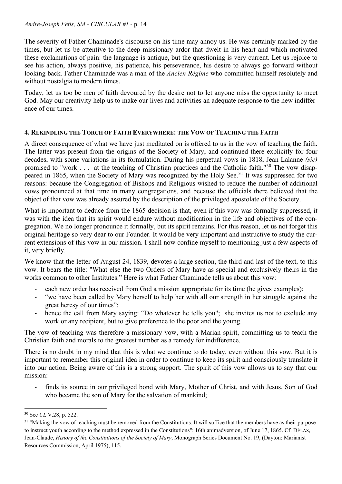The severity of Father Chaminade's discourse on his time may annoy us. He was certainly marked by the times, but let us be attentive to the deep missionary ardor that dwelt in his heart and which motivated these exclamations of pain: the language is antique, but the questioning is very current. Let us rejoice to see his action, always positive, his patience, his perseverance, his desire to always go forward without looking back. Father Chaminade was a man of the *Ancien Régime* who committed himself resolutely and without nostalgia to modern times.

Today, let us too be men of faith devoured by the desire not to let anyone miss the opportunity to meet God. May our creativity help us to make our lives and activities an adequate response to the new indifference of our times.

## **4. REKINDLING THE TORCH OF FAITH EVERYWHERE: THE VOW OF TEACHING THE FAITH**

A direct consequence of what we have just meditated on is offered to us in the vow of teaching the faith. The latter was present from the origins of the Society of Mary, and continued there explicitly for four decades, with some variations in its formulation. During his perpetual vows in 1818, Jean Lalanne *(sic)* promised to "work . . . at the teaching of Christian practices and the Catholic faith."[30](#page-13-0) The vow disap-peared in 1865, when the Society of Mary was recognized by the Holy See.<sup>[31](#page-13-1)</sup> It was suppressed for two reasons: because the Congregation of Bishops and Religious wished to reduce the number of additional vows pronounced at that time in many congregations, and because the officials there believed that the object of that vow was already assured by the description of the privileged apostolate of the Society.

What is important to deduce from the 1865 decision is that, even if this vow was formally suppressed, it was with the idea that its spirit would endure without modification in the life and objectives of the congregation. We no longer pronounce it formally, but its spirit remains. For this reason, let us not forget this original heritage so very dear to our Founder. It would be very important and instructive to study the current extensions of this vow in our mission. I shall now confine myself to mentioning just a few aspects of it, very briefly.

We know that the letter of August 24, 1839, devotes a large section, the third and last of the text, to this vow. It bears the title: "What else the two Orders of Mary have as special and exclusively theirs in the works common to other Institutes." Here is what Father Chaminade tells us about this vow:

- each new order has received from God a mission appropriate for its time (he gives examples);
- "we have been called by Mary herself to help her with all our strength in her struggle against the great heresy of our times";
- hence the call from Mary saying: "Do whatever he tells you"; she invites us not to exclude any work or any recipient, but to give preference to the poor and the young.

The vow of teaching was therefore a missionary vow, with a Marian spirit, committing us to teach the Christian faith and morals to the greatest number as a remedy for indifference.

There is no doubt in my mind that this is what we continue to do today, even without this vow. But it is important to remember this original idea in order to continue to keep its spirit and consciously translate it into our action. Being aware of this is a strong support. The spirit of this vow allows us to say that our mission:

finds its source in our privileged bond with Mary, Mother of Christ, and with Jesus, Son of God who became the son of Mary for the salvation of mankind;

<span id="page-13-0"></span><sup>30</sup> See *CL* V.28, p. 522.

<span id="page-13-1"></span><sup>&</sup>lt;sup>31</sup> "Making the vow of teaching must be removed from the Constitutions. It will suffice that the members have as their purpose to instruct youth according to the method expressed in the Constitutions": 16th animadversion, of June 17, 1865. Cf. DÉLAS, Jean-Claude, *History of the Constitutions of the Society of Mary*, Monograph Series Document No. 19, (Dayton: Marianist Resources Commission, April 1975), 115.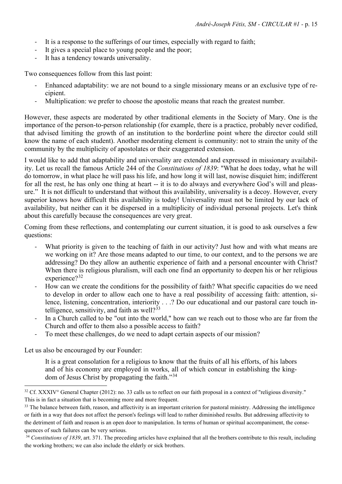- It is a response to the sufferings of our times, especially with regard to faith;
- It gives a special place to young people and the poor;
- It has a tendency towards universality.

Two consequences follow from this last point:

- Enhanced adaptability: we are not bound to a single missionary means or an exclusive type of recipient.
- Multiplication: we prefer to choose the apostolic means that reach the greatest number.

However, these aspects are moderated by other traditional elements in the Society of Mary. One is the importance of the person-to-person relationship (for example, there is a practice, probably never codified, that advised limiting the growth of an institution to the borderline point where the director could still know the name of each student). Another moderating element is community: not to strain the unity of the community by the multiplicity of apostolates or their exaggerated extension.

I would like to add that adaptability and universality are extended and expressed in missionary availability. Let us recall the famous Article 244 of the *Constitutions of 1839*: "What he does today, what he will do tomorrow, in what place he will pass his life, and how long it will last, nowise disquiet him; indifferent for all the rest, he has only one thing at heart -- it is to do always and everywhere God's will and pleasure." It is not difficult to understand that without this availability, universality is a decoy. However, every superior knows how difficult this availability is today! Universality must not be limited by our lack of availability, but neither can it be dispersed in a multiplicity of individual personal projects. Let's think about this carefully because the consequences are very great.

Coming from these reflections, and contemplating our current situation, it is good to ask ourselves a few questions:

- What priority is given to the teaching of faith in our activity? Just how and with what means are we working on it? Are those means adapted to our time, to our context, and to the persons we are addressing? Do they allow an authentic experience of faith and a personal encounter with Christ? When there is religious pluralism, will each one find an opportunity to deepen his or her religious experience?<sup>[32](#page-14-0)</sup>
- How can we create the conditions for the possibility of faith? What specific capacities do we need to develop in order to allow each one to have a real possibility of accessing faith: attention, silence, listening, concentration, interiority . . .? Do our educational and our pastoral care touch intelligence, sensitivity, and faith as well? $33$
- In a Church called to be "out into the world," how can we reach out to those who are far from the Church and offer to them also a possible access to faith?
- To meet these challenges, do we need to adapt certain aspects of our mission?

Let us also be encouraged by our Founder:

It is a great consolation for a religious to know that the fruits of all his efforts, of his labors and of his economy are employed in works, all of which concur in establishing the kingdom of Jesus Christ by propagating the faith."[34](#page-14-2)

<span id="page-14-0"></span> $32$  Cf. XXXIV° General Chapter (2012): no. 33 calls us to reflect on our faith proposal in a context of "religious diversity." This is in fact a situation that is becoming more and more frequent.

<span id="page-14-1"></span><sup>&</sup>lt;sup>33</sup> The balance between faith, reason, and affectivity is an important criterion for pastoral ministry. Addressing the intelligence or faith in a way that does not affect the person's feelings will lead to rather diminished results. But addressing affectivity to the detriment of faith and reason is an open door to manipulation. In terms of human or spiritual accompaniment, the consequences of such failures can be very serious.

<span id="page-14-2"></span><sup>&</sup>lt;sup>34</sup> Constitutions of 1839, art. 371. The preceding articles have explained that all the brothers contribute to this result, including the working brothers; we can also include the elderly or sick brothers.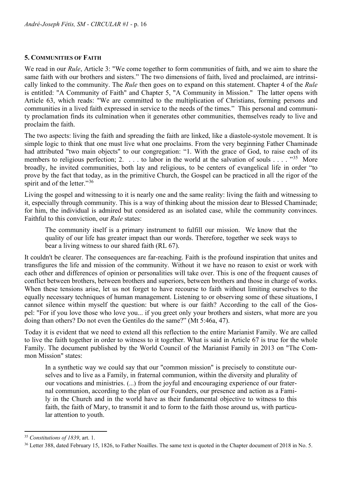# **5. COMMUNITIES OF FAITH**

We read in our *Rule*, Article 3: "We come together to form communities of faith, and we aim to share the same faith with our brothers and sisters." The two dimensions of faith, lived and proclaimed, are intrinsically linked to the community. The *Rule* then goes on to expand on this statement. Chapter 4 of the *Rule* is entitled: "A Community of Faith" and Chapter 5, "A Community in Mission." The latter opens with Article 63, which reads: "We are committed to the multiplication of Christians, forming persons and communities in a lived faith expressed in service to the needs of the times." This personal and community proclamation finds its culmination when it generates other communities, themselves ready to live and proclaim the faith.

The two aspects: living the faith and spreading the faith are linked, like a diastole-systole movement. It is simple logic to think that one must live what one proclaims. From the very beginning Father Chaminade had attributed "two main objects" to our congregation: "1. With the grace of God, to raise each of its members to religious perfection; 2. . . . to labor in the world at the salvation of souls . . . . "<sup>35</sup> More broadly, he invited communities, both lay and religious, to be centers of evangelical life in order "to prove by the fact that today, as in the primitive Church, the Gospel can be practiced in all the rigor of the spirit and of the letter."<sup>[36](#page-15-1)</sup>

Living the gospel and witnessing to it is nearly one and the same reality: living the faith and witnessing to it, especially through community. This is a way of thinking about the mission dear to Blessed Chaminade; for him, the individual is admired but considered as an isolated case, while the community convinces. Faithful to this conviction, our *Rule* states:

The community itself is a primary instrument to fulfill our mission. We know that the quality of our life has greater impact than our words. Therefore, together we seek ways to bear a living witness to our shared faith (RL 67).

It couldn't be clearer. The consequences are far-reaching. Faith is the profound inspiration that unites and transfigures the life and mission of the community. Without it we have no reason to exist or work with each other and differences of opinion or personalities will take over. This is one of the frequent causes of conflict between brothers, between brothers and superiors, between brothers and those in charge of works. When these tensions arise, let us not forget to have recourse to faith without limiting ourselves to the equally necessary techniques of human management. Listening to or observing some of these situations, I cannot silence within myself the question: but where is our faith? According to the call of the Gospel: "For if you love those who love you... if you greet only your brothers and sisters, what more are you doing than others? Do not even the Gentiles do the same?" (Mt 5:46a, 47).

Today it is evident that we need to extend all this reflection to the entire Marianist Family. We are called to live the faith together in order to witness to it together. What is said in Article 67 is true for the whole Family. The document published by the World Council of the Marianist Family in 2013 on "The Common Mission" states:

In a synthetic way we could say that our "common mission" is precisely to constitute ourselves and to live as a Family, in fraternal communion, within the diversity and plurality of our vocations and ministries. (...) from the joyful and encouraging experience of our fraternal communion, according to the plan of our Founders, our presence and action as a Family in the Church and in the world have as their fundamental objective to witness to this faith, the faith of Mary, to transmit it and to form to the faith those around us, with particular attention to youth.

<span id="page-15-0"></span><sup>35</sup> *Constitutions of 1839*, art. 1.

<span id="page-15-1"></span><sup>&</sup>lt;sup>36</sup> Letter 388, dated February 15, 1826, to Father Noailles. The same text is quoted in the Chapter document of 2018 in No. 5.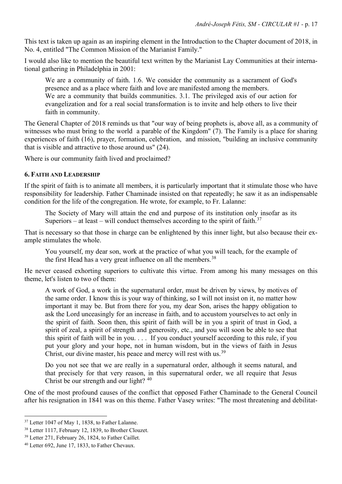This text is taken up again as an inspiring element in the Introduction to the Chapter document of 2018, in No. 4, entitled "The Common Mission of the Marianist Family."

I would also like to mention the beautiful text written by the Marianist Lay Communities at their international gathering in Philadelphia in 2001:

We are a community of faith. 1.6. We consider the community as a sacrament of God's presence and as a place where faith and love are manifested among the members.

We are a community that builds communities. 3.1. The privileged axis of our action for evangelization and for a real social transformation is to invite and help others to live their faith in community.

The General Chapter of 2018 reminds us that "our way of being prophets is, above all, as a community of witnesses who must bring to the world a parable of the Kingdom" (7). The Family is a place for sharing experiences of faith (16), prayer, formation, celebration, and mission, "building an inclusive community that is visible and attractive to those around us" (24).

Where is our community faith lived and proclaimed?

#### **6. FAITH AND LEADERSHIP**

If the spirit of faith is to animate all members, it is particularly important that it stimulate those who have responsibility for leadership. Father Chaminade insisted on that repeatedly; he saw it as an indispensable condition for the life of the congregation. He wrote, for example, to Fr. Lalanne:

The Society of Mary will attain the end and purpose of its institution only insofar as its Superiors – at least – will conduct themselves according to the spirit of faith.<sup>[37](#page-16-0)</sup>

That is necessary so that those in charge can be enlightened by this inner light, but also because their example stimulates the whole.

You yourself, my dear son, work at the practice of what you will teach, for the example of the first Head has a very great influence on all the members.<sup>[38](#page-16-1)</sup>

He never ceased exhorting superiors to cultivate this virtue. From among his many messages on this theme, let's listen to two of them:

A work of God, a work in the supernatural order, must be driven by views, by motives of the same order. I know this is your way of thinking, so I will not insist on it, no matter how important it may be. But from there for you, my dear Son, arises the happy obligation to ask the Lord unceasingly for an increase in faith, and to accustom yourselves to act only in the spirit of faith. Soon then, this spirit of faith will be in you a spirit of trust in God, a spirit of zeal, a spirit of strength and generosity, etc., and you will soon be able to see that this spirit of faith will be in you.  $\ldots$  If you conduct yourself according to this rule, if you put your glory and your hope, not in human wisdom, but in the views of faith in Jesus Christ, our divine master, his peace and mercy will rest with us.<sup>[39](#page-16-2)</sup>

Do you not see that we are really in a supernatural order, although it seems natural, and that precisely for that very reason, in this supernatural order, we all require that Jesus Christ be our strength and our light? [40](#page-16-3)

One of the most profound causes of the conflict that opposed Father Chaminade to the General Council after his resignation in 1841 was on this theme. Father Vasey writes: "The most threatening and debilitat-

<span id="page-16-0"></span><sup>&</sup>lt;sup>37</sup> Letter 1047 of May 1, 1838, to Father Lalanne.

<span id="page-16-1"></span><sup>38</sup> Letter 1117, February 12, 1839, to Brother Clouzet.

<span id="page-16-2"></span><sup>39</sup> Letter 271, February 26, 1824, to Father Caillet.

<span id="page-16-3"></span><sup>40</sup> Letter 692, June 17, 1833, to Father Chevaux.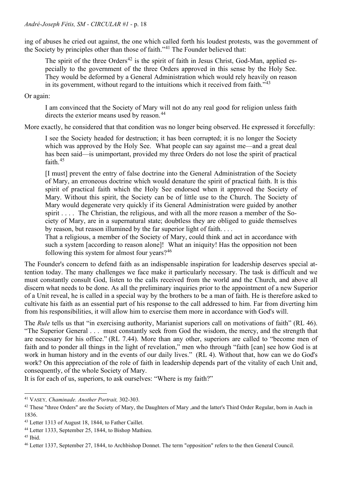ing of abuses he cried out against, the one which called forth his loudest protests, was the government of the Society by principles other than those of faith."[41](#page-17-0) The Founder believed that:

The spirit of the three Orders<sup>[42](#page-17-1)</sup> is the spirit of faith in Jesus Christ, God-Man, applied especially to the government of the three Orders approved in this sense by the Holy See. They would be deformed by a General Administration which would rely heavily on reason in its government, without regard to the intuitions which it received from faith."<sup>[43](#page-17-2)</sup>

Or again:

I am convinced that the Society of Mary will not do any real good for religion unless faith directs the exterior means used by reason.<sup>[44](#page-17-3)</sup>

More exactly, he considered that that condition was no longer being observed. He expressed it forcefully:

I see the Society headed for destruction; it has been corrupted; it is no longer the Society which was approved by the Holy See. What people can say against me—and a great deal has been said—is unimportant, provided my three Orders do not lose the spirit of practical faith.[45](#page-17-4)

[I must] prevent the entry of false doctrine into the General Administration of the Society of Mary, an erroneous doctrine which would denature the spirit of practical faith. It is this spirit of practical faith which the Holy See endorsed when it approved the Society of Mary. Without this spirit, the Society can be of little use to the Church. The Society of Mary would degenerate very quickly if its General Administration were guided by another spirit . . . . The Christian, the religious, and with all the more reason a member of the Society of Mary, are in a supernatural state; doubtless they are obliged to guide themselves by reason, but reason illumined by the far superior light of faith. . . .

That a religious, a member of the Society of Mary, could think and act in accordance with such a system [according to reason alone]! What an iniquity! Has the opposition not been following this system for almost four years? $46$ 

The Founder's concern to defend faith as an indispensable inspiration for leadership deserves special attention today. The many challenges we face make it particularly necessary. The task is difficult and we must constantly consult God, listen to the calls received from the world and the Church, and above all discern what needs to be done. As all the preliminary inquiries prior to the appointment of a new Superior of a Unit reveal, he is called in a special way by the brothers to be a man of faith. He is therefore asked to cultivate his faith as an essential part of his response to the call addressed to him. Far from diverting him from his responsibilities, it will allow him to exercise them more in accordance with God's will.

The *Rule* tells us that "in exercising authority, Marianist superiors call on motivations of faith" (RL 46). "The Superior General . . . must constantly seek from God the wisdom, the mercy, and the strength that are necessary for his office." (RL 7.44). More than any other, superiors are called to "become men of faith and to ponder all things in the light of revelation," men who through "faith [can] see how God is at work in human history and in the events of our daily lives." (RL 4). Without that, how can we do God's work? On this appreciation of the role of faith in leadership depends part of the vitality of each Unit and, consequently, of the whole Society of Mary.

It is for each of us, superiors, to ask ourselves: "Where is my faith?"

<span id="page-17-0"></span><sup>41</sup> VASEY*, Chaminade. Another Portrait,* 302-303*.* 

<span id="page-17-1"></span><sup>&</sup>lt;sup>42</sup> These "three Orders" are the Society of Mary, the Daughters of Mary ,and the latter's Third Order Regular, born in Auch in 1836.

<span id="page-17-2"></span><sup>43</sup> Letter 1313 of August 18, 1844, to Father Caillet.

<span id="page-17-3"></span><sup>44</sup> Letter 1333, September 25, 1844, to Bishop Mathieu.

<span id="page-17-4"></span><sup>45</sup> Ibid.

<span id="page-17-5"></span><sup>46</sup> Letter 1337, September 27, 1844, to Archbishop Donnet. The term "opposition" refers to the then General Council.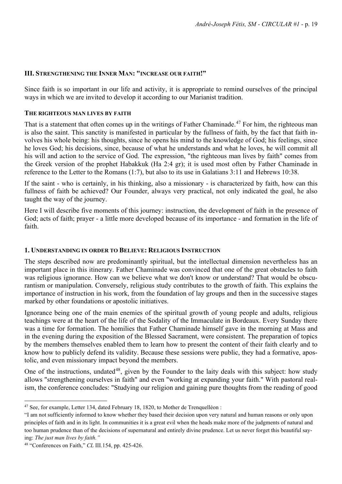#### **III. STRENGTHENING THE INNER MAN: "INCREASE OUR FAITH!"**

Since faith is so important in our life and activity, it is appropriate to remind ourselves of the principal ways in which we are invited to develop it according to our Marianist tradition.

#### **THE RIGHTEOUS MAN LIVES BY FAITH**

That is a statement that often comes up in the writings of Father Chaminade.<sup>[47](#page-18-0)</sup> For him, the righteous man is also the saint. This sanctity is manifested in particular by the fullness of faith, by the fact that faith involves his whole being: his thoughts, since he opens his mind to the knowledge of God; his feelings, since he loves God; his decisions, since, because of what he understands and what he loves, he will commit all his will and action to the service of God. The expression, "the righteous man lives by faith" comes from the Greek version of the prophet Habakkuk (Ha 2:4 gr); it is used most often by Father Chaminade in reference to the Letter to the Romans (1:7), but also to its use in Galatians 3:11 and Hebrews 10:38.

If the saint - who is certainly, in his thinking, also a missionary - is characterized by faith, how can this fullness of faith be achieved? Our Founder, always very practical, not only indicated the goal, he also taught the way of the journey.

Here I will describe five moments of this journey: instruction, the development of faith in the presence of God; acts of faith; prayer - a little more developed because of its importance - and formation in the life of faith.

## **1. UNDERSTANDING IN ORDER TO BELIEVE: RELIGIOUS INSTRUCTION**

The steps described now are predominantly spiritual, but the intellectual dimension nevertheless has an important place in this itinerary. Father Chaminade was convinced that one of the great obstacles to faith was religious ignorance. How can we believe what we don't know or understand? That would be obscurantism or manipulation. Conversely, religious study contributes to the growth of faith. This explains the importance of instruction in his work, from the foundation of lay groups and then in the successive stages marked by other foundations or apostolic initiatives.

Ignorance being one of the main enemies of the spiritual growth of young people and adults, religious teachings were at the heart of the life of the Sodality of the Immaculate in Bordeaux. Every Sunday there was a time for formation. The homilies that Father Chaminade himself gave in the morning at Mass and in the evening during the exposition of the Blessed Sacrament, were consistent. The preparation of topics by the members themselves enabled them to learn how to present the content of their faith clearly and to know how to publicly defend its validity. Because these sessions were public, they had a formative, apostolic, and even missionary impact beyond the members.

One of the instructions, undated<sup>48</sup>, given by the Founder to the laity deals with this subject: how study allows "strengthening ourselves in faith" and even "working at expanding your faith." With pastoral realism, the conference concludes: "Studying our religion and gaining pure thoughts from the reading of good

<span id="page-18-0"></span><sup>47</sup> See, for example, Letter 134, dated February 18, 1820, to Mother de Trenquelléon :

<sup>&</sup>quot;I am not sufficiently informed to know whether they based their decision upon very natural and human reasons or only upon principles of faith and in its light. In communities it is a great evil when the heads make more of the judgments of natural and too human prudence than of the decisions of supernatural and entirely divine prudence. Let us never forget this beautiful saying: *The just man lives by faith."*

<span id="page-18-1"></span><sup>48</sup> "Conferences on Faith," *CL* III.154, pp. 425-426.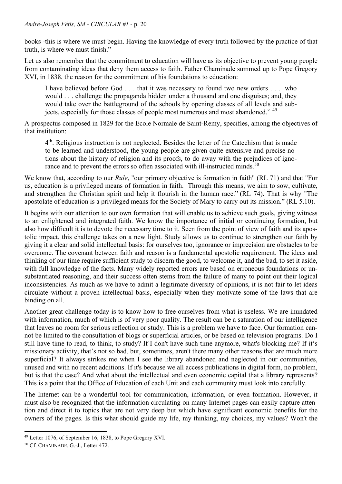books -this is where we must begin. Having the knowledge of every truth followed by the practice of that truth, is where we must finish."

Let us also remember that the commitment to education will have as its objective to prevent young people from contaminating ideas that deny them access to faith. Father Chaminade summed up to Pope Gregory XVI, in 1838, the reason for the commitment of his foundations to education:

I have believed before God . . . that it was necessary to found two new orders . . . who would . . . challenge the propaganda hidden under a thousand and one disguises; and, they would take over the battleground of the schools by opening classes of all levels and subjects, especially for those classes of people most numerous and most abandoned." [49](#page-19-0)

A prospectus composed in 1829 for the Ecole Normale de Saint-Remy, specifies, among the objectives of that institution:

 $4<sup>th</sup>$ . Religious instruction is not neglected. Besides the letter of the Catechism that is made to be learned and understood, the young people are given quite extensive and precise notions about the history of religion and its proofs, to do away with the prejudices of igno-rance and to prevent the errors so often associated with ill-instructed minds.<sup>[50](#page-19-1)</sup>

We know that, according to our *Rule*, "our primary objective is formation in faith" (RL 71) and that "For us, education is a privileged means of formation in faith. Through this means, we aim to sow, cultivate, and strengthen the Christian spirit and help it flourish in the human race." (RL 74). That is why "The apostolate of education is a privileged means for the Society of Mary to carry out its mission." (RL 5.10).

It begins with our attention to our own formation that will enable us to achieve such goals, giving witness to an enlightened and integrated faith. We know the importance of initial or continuing formation, but also how difficult it is to devote the necessary time to it. Seen from the point of view of faith and its apostolic impact, this challenge takes on a new light. Study allows us to continue to strengthen our faith by giving it a clear and solid intellectual basis: for ourselves too, ignorance or imprecision are obstacles to be overcome. The covenant between faith and reason is a fundamental apostolic requirement. The ideas and thinking of our time require sufficient study to discern the good, to welcome it, and the bad, to set it aside, with full knowledge of the facts. Many widely reported errors are based on erroneous foundations or unsubstantiated reasoning, and their success often stems from the failure of many to point out their logical inconsistencies. As much as we have to admit a legitimate diversity of opinions, it is not fair to let ideas circulate without a proven intellectual basis, especially when they motivate some of the laws that are binding on all.

Another great challenge today is to know how to free ourselves from what is useless. We are inundated with information, much of which is of very poor quality. The result can be a saturation of our intelligence that leaves no room for serious reflection or study. This is a problem we have to face. Our formation cannot be limited to the consultation of blogs or superficial articles, or be based on television programs. Do I still have time to read, to think, to study? If I don't have such time anymore, what's blocking me? If it's missionary activity, that's not so bad, but, sometimes, aren't there many other reasons that are much more superficial? It always strikes me when I see the library abandoned and neglected in our communities, unused and with no recent additions. If it's because we all access publications in digital form, no problem, but is that the case? And what about the intellectual and even economic capital that a library represents? This is a point that the Office of Education of each Unit and each community must look into carefully.

The Internet can be a wonderful tool for communication, information, or even formation. However, it must also be recognized that the information circulating on many Internet pages can easily capture attention and direct it to topics that are not very deep but which have significant economic benefits for the owners of the pages. Is this what should guide my life, my thinking, my choices, my values? Won't the

<span id="page-19-0"></span><sup>49</sup> Letter 1076, of September 16, 1838, to Pope Gregory XVI.

<span id="page-19-1"></span><sup>&</sup>lt;sup>50</sup> Cf. CHAMINADE, G.-J., Letter 472.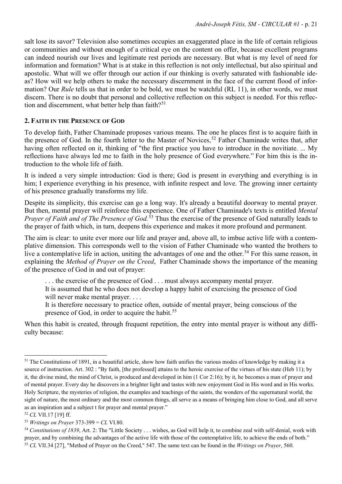salt lose its savor? Television also sometimes occupies an exaggerated place in the life of certain religious or communities and without enough of a critical eye on the content on offer, because excellent programs can indeed nourish our lives and legitimate rest periods are necessary. But what is my level of need for information and formation? What is at stake in this reflection is not only intellectual, but also spiritual and apostolic. What will we offer through our action if our thinking is overly saturated with fashionable ideas? How will we help others to make the necessary discernment in the face of the current flood of information? Our *Rule* tells us that in order to be bold, we must be watchful (RL 11), in other words, we must discern. There is no doubt that personal and collective reflection on this subject is needed. For this reflec-tion and discernment, what better help than faith?<sup>[51](#page-20-0)</sup>

# **2. FAITH IN THE PRESENCE OF GOD**

To develop faith, Father Chaminade proposes various means. The one he places first is to acquire faith in the presence of God. In the fourth letter to the Master of Novices,<sup>[52](#page-20-1)</sup> Father Chaminade writes that, after having often reflected on it, thinking of "the first practice you have to introduce in the novitiate. ... My reflections have always led me to faith in the holy presence of God everywhere." For him this is the introduction to the whole life of faith.

It is indeed a very simple introduction: God is there; God is present in everything and everything is in him; I experience everything in his presence, with infinite respect and love. The growing inner certainty of his presence gradually transforms my life.

Despite its simplicity, this exercise can go a long way. It's already a beautiful doorway to mental prayer. But then, mental prayer will reinforce this experience. One of Father Chaminade's texts is entitled *Mental Prayer* of *Faith and of The Presence of God.*<sup>[53](#page-20-2)</sup> Thus the exercise of the presence of God naturally leads to the prayer of faith which, in turn, deepens this experience and makes it more profound and permanent.

The aim is clear: to unite ever more our life and prayer and, above all, to imbue active life with a contemplative dimension. This corresponds well to the vision of Father Chaminade who wanted the brothers to live a contemplative life in action, uniting the advantages of one and the other.<sup>[54](#page-20-3)</sup> For this same reason, in explaining the *Method of Prayer on the Creed*, Father Chaminade shows the importance of the meaning of the presence of God in and out of prayer:

. . . the exercise of the presence of God . . . must always accompany mental prayer.

It is assumed that he who does not develop a happy habit of exercising the presence of God will never make mental prayer. . . .

It is therefore necessary to practice often, outside of mental prayer, being conscious of the presence of God, in order to acquire the habit.<sup>[55](#page-20-4)</sup>

When this habit is created, through frequent repetition, the entry into mental prayer is without any difficulty because:

<span id="page-20-0"></span> $<sup>51</sup>$  The Constitutions of 1891, in a beautiful article, show how faith unifies the various modes of knowledge by making it a</sup> source of instruction. Art. 302 : "By faith, [the professed] attains to the heroic exercise of the virtues of his state (Heb 11); by it, the divine mind, the mind of Christ, is produced and developed in him (1 Cor 2:16); by it, he becomes a man of prayer and of mental prayer. Every day he discovers in a brighter light and tastes with new enjoyment God in His word and in His works. Holy Scripture, the mysteries of religion, the examples and teachings of the saints, the wonders of the supernatural world, the sight of nature, the most ordinary and the most common things, all serve as a means of bringing him close to God, and all serve as an inspiration and a subject t for prayer and mental prayer."

<span id="page-20-1"></span><sup>52</sup> *CL* VII.17 [19] ff.

<span id="page-20-2"></span><sup>53</sup> *Writings on Prayer* 373-399 = *CL* VI.80.

<span id="page-20-4"></span><span id="page-20-3"></span><sup>&</sup>lt;sup>54</sup> Constitutions of 1839, Art. 2: The "Little Society . . . wishes, as God will help it, to combine zeal with self-denial, work with prayer, and by combining the advantages of the active life with those of the contemplative life, to achieve the ends of both." <sup>55</sup> *CL* VII.34 [27], "Method of Prayer on the Creed," 547. The same text can be found in the *Writings on Prayer*, 560.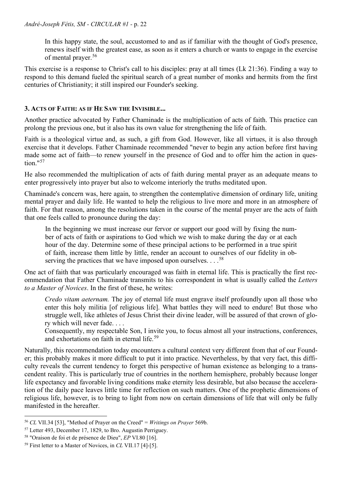In this happy state, the soul, accustomed to and as if familiar with the thought of God's presence, renews itself with the greatest ease, as soon as it enters a church or wants to engage in the exercise of mental prayer.<sup>[56](#page-21-0)</sup>

This exercise is a response to Christ's call to his disciples: pray at all times (Lk 21:36). Finding a way to respond to this demand fueled the spiritual search of a great number of monks and hermits from the first centuries of Christianity; it still inspired our Founder's seeking.

# **3. ACTS OF FAITH: AS IF HE SAW THE INVISIBLE...**

Another practice advocated by Father Chaminade is the multiplication of acts of faith. This practice can prolong the previous one, but it also has its own value for strengthening the life of faith.

Faith is a theological virtue and, as such, a gift from God. However, like all virtues, it is also through exercise that it develops. Father Chaminade recommended "never to begin any action before first having made some act of faith—to renew yourself in the presence of God and to offer him the action in question." $57$ 

He also recommended the multiplication of acts of faith during mental prayer as an adequate means to enter progressively into prayer but also to welcome interiorly the truths meditated upon.

Chaminade's concern was, here again, to strengthen the contemplative dimension of ordinary life, uniting mental prayer and daily life. He wanted to help the religious to live more and more in an atmosphere of faith. For that reason, among the resolutions taken in the course of the mental prayer are the acts of faith that one feels called to pronounce during the day:

In the beginning we must increase our fervor or support our good will by fixing the number of acts of faith or aspirations to God which we wish to make during the day or at each hour of the day. Determine some of these principal actions to be performed in a true spirit of faith, increase them little by little, render an account to ourselves of our fidelity in ob-serving the practices that we have imposed upon ourselves. . . .<sup>[58](#page-21-2)</sup>

One act of faith that was particularly encouraged was faith in eternal life. This is practically the first recommendation that Father Chaminade transmits to his correspondent in what is usually called the *Letters to a Master of Novices*. In the first of these, he writes:

*Credo vitam aeternam.* The joy of eternal life must engrave itself profoundly upon all those who enter this holy militia [of religious life]. What battles they will need to endure! But those who struggle well, like athletes of Jesus Christ their divine leader, will be assured of that crown of glory which will never fade. . . .

Consequently, my respectable Son, I invite you, to focus almost all your instructions, conferences, and exhortations on faith in eternal life.<sup>[59](#page-21-3)</sup>

Naturally, this recommendation today encounters a cultural context very different from that of our Founder; this probably makes it more difficult to put it into practice. Nevertheless, by that very fact, this difficulty reveals the current tendency to forget this perspective of human existence as belonging to a transcendent reality. This is particularly true of countries in the northern hemisphere, probably because longer life expectancy and favorable living conditions make eternity less desirable, but also because the acceleration of the daily pace leaves little time for reflection on such matters. One of the prophetic dimensions of religious life, however, is to bring to light from now on certain dimensions of life that will only be fully manifested in the hereafter.

<span id="page-21-0"></span><sup>56</sup> *CL* VII.34 [53], "Method of Prayer on the Creed" = *Writings on Prayer* 569b.

<span id="page-21-1"></span><sup>57</sup> Letter 493, December 17, 1829, to Bro. Augustin Perriguey.

<span id="page-21-2"></span><sup>58</sup> "Oraison de foi et de présence de Dieu", *EP* VI.80 [16].

<span id="page-21-3"></span><sup>59</sup> First letter to a Master of Novices, in *CL* VII.17 [4]-[5].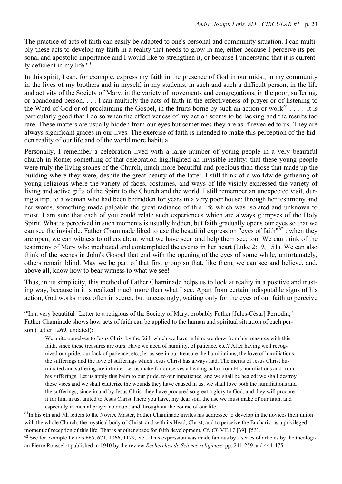The practice of acts of faith can easily be adapted to one's personal and community situation. I can multiply these acts to develop my faith in a reality that needs to grow in me, either because I perceive its personal and apostolic importance and I would like to strengthen it, or because I understand that it is currently deficient in my life. $60$ 

In this spirit, I can, for example, express my faith in the presence of God in our midst, in my community in the lives of my brothers and in myself, in my students, in such and such a difficult person, in the life and activity of the Society of Mary, in the variety of movements and congregations, in the poor, suffering, or abandoned person. . . . I can multiply the acts of faith in the effectiveness of prayer or of listening to the Word of God or of proclaiming the Gospel, in the fruits borne by such an action or work $^{61}$  $^{61}$  $^{61}$ .... It is particularly good that I do so when the effectiveness of my action seems to be lacking and the results too rare. These matters are usually hidden from our eyes but sometimes they are as if revealed to us. They are always significant graces in our lives. The exercise of faith is intended to make this perception of the hidden reality of our life and of the world more habitual.

Personally, I remember a celebration lived with a large number of young people in a very beautiful church in Rome; something of that celebration highlighted an invisible reality: that these young people were truly the living stones of the Church, much more beautiful and precious than those that made up the building where they were, despite the great beauty of the latter. I still think of a worldwide gathering of young religious where the variety of faces, costumes, and ways of life visibly expressed the variety of living and active gifts of the Spirit to the Church and the world. I still remember an unexpected visit, during a trip, to a woman who had been bedridden for years in a very poor house; through her testimony and her words, something made palpable the great radiance of this life which was isolated and unknown to most. I am sure that each of you could relate such experiences which are always glimpses of the Holy Spirit. What is perceived in such moments is usually hidden, but faith gradually opens our eyes so that we can see the invisible. Father Chaminade liked to use the beautiful expression "eyes of faith"[62](#page-22-2) : when they are open, we can witness to others about what we have seen and help them see, too. We can think of the testimony of Mary who meditated and contemplated the events in her heart (Luke 2:19, 51). We can also think of the scenes in John's Gospel that end with the opening of the eyes of some while, unfortunately, others remain blind. May we be part of that first group so that, like them, we can see and believe, and, above all, know how to bear witness to what we see!

Thus, in its simplicity, this method of Father Chaminade helps us to look at reality in a positive and trusting way, because in it is realized much more than what I see. Apart from certain indisputable signs of his action, God works most often in secret, but unceasingly, waiting only for the eyes of our faith to perceive

<span id="page-22-1"></span> $<sup>61</sup>$ In his 6th and 7th letters to the Novice Master, Father Chaminade invites his addressee to develop in the novices their union</sup> with the whole Church, the mystical body of Christ, and with its Head, Christ, and to perceive the Eucharist as a privileged moment of reception of this life. That is another space for faith development. Cf. *CL* VII.17 [39], [53].

<span id="page-22-2"></span> $62$  See for example Letters  $665, 671, 1066, 1179,$  etc... This expression was made famous by a series of articles by the theologian Pierre Rousselot published in 1910 by the review *Recherches de Science religieuse*, pp. 241-259 and 444-475.

<span id="page-22-0"></span><sup>&</sup>lt;sup>60</sup>In a very beautiful "Letter to a religious of the Society of Mary, probably Father [Jules-César] Perrodin," Father Chaminade shows how acts of faith can be applied to the human and spiritual situation of each person (Letter 1269, undated):

We unite ourselves to Jesus Christ by the faith which we have in him, we draw from his treasures with this faith, since these treasures are ours. Have we need of humility, of patience, etc.? After having well recognized our pride, our lack of patience, etc., let us see in our treasure the humiliations, the love of humiliations, the sufferings and the love of sufferings which Jesus Christ has always had. The merits of Jesus Christ humiliated and suffering are infinite. Let us make for ourselves a healing balm from His humiliations and from his sufferings. Let us apply this balm to our pride, to our impatience, and we shall be healed; we shall destroy these vices and we shall cauterize the wounds they have caused in us; we shall love both the humiliations and the sufferings, since in and by Jesus Christ they have procured so great a glory to God, and they will procure it for him in us, united to Jesus Christ There you have, my dear son, the use we must make of our faith, and especially in mental prayer no doubt, and throughout the course of our life.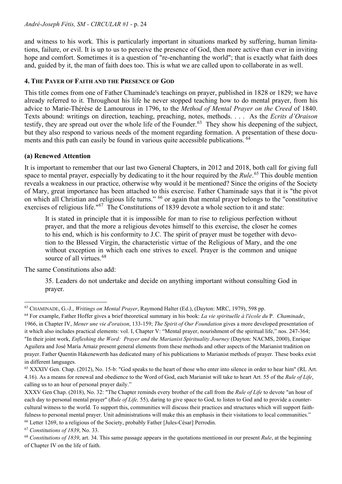and witness to his work. This is particularly important in situations marked by suffering, human limitations, failure, or evil. It is up to us to perceive the presence of God, then more active than ever in inviting hope and comfort. Sometimes it is a question of "re-enchanting the world"; that is exactly what faith does and, guided by it, the man of faith does too. This is what we are called upon to collaborate in as well.

# **4. THE PAYER OF FAITH AND THE PRESENCE OF GOD**

This title comes from one of Father Chaminade's teachings on prayer, published in 1828 or 1829; we have already referred to it. Throughout his life he never stopped teaching how to do mental prayer, from his advice to Marie-Thérèse de Lamourous in 1796, to the *Method of Mental Prayer on the Creed* of 1840. Texts abound: writings on direction, teaching, preaching, notes, methods. . . . As the *Ecrits d'Oraison*  testify, they are spread out over the whole life of the Founder.<sup>63</sup> They show his deepening of the subject, but they also respond to various needs of the moment regarding formation. A presentation of these documents and this path can easily be found in various quite accessible publications. [64](#page-23-1)

# **(a) Renewed Attention**

It is important to remember that our last two General Chapters, in 2012 and 2018, both call for giving full space to mental prayer, especially by dedicating to it the hour required by the *Rule*. [65](#page-23-2) This double mention reveals a weakness in our practice, otherwise why would it be mentioned? Since the origins of the Society of Mary, great importance has been attached to this exercise. Father Chaminade says that it is "the pivot on which all Christian and religious life turns." [66](#page-23-3) or again that mental prayer belongs to the "constitutive exercises of religious life."<sup>[67](#page-23-4)</sup> The Constitutions of 1839 devote a whole section to it and state:

It is stated in principle that it is impossible for man to rise to religious perfection without prayer, and that the more a religious devotes himself to this exercise, the closer he comes to his end, which is his conformity to J.C. The spirit of prayer must be together with devotion to the Blessed Virgin, the characteristic virtue of the Religious of Mary, and the one without exception in which each one strives to excel. Prayer is the common and unique source of all virtues.<sup>[68](#page-23-5)</sup>

The same Constitutions also add:

35. Leaders do not undertake and decide on anything important without consulting God in prayer.

<span id="page-23-0"></span><sup>63</sup> CHAMINADE, G.-J., *Writings on Mental Prayer*, Raymond Halter (Ed.), (Dayton: MRC, 1979), 598 pp.

<span id="page-23-1"></span><sup>64</sup> For example, Father Hoffer gives a brief theoretical summary in his book: *La vie spirituelle à l'école du* P. *Chaminade*, 1966, in Chapter IV, *Mener une vie d'oraison*, 133-159; *The Spirit of Our Foundation* gives a more developed presentation of it which also includes practical elements: vol. I, Chapter V: "Mental prayer, nourishment of the spiritual life," nos. 247-364; "In their joint work, *Enfleshing the Word: Prayer and the Marianist Spirituality Journey* (Dayton: NACMS, 2000), Enrique Aguilera and José María Arnaiz present general elements from these methods and other aspects of the Marianist tradition on prayer. Father Quentin Hakenewerth has dedicated many of his publications to Marianist methods of prayer. These books exist in different languages.

<span id="page-23-2"></span><sup>65</sup> XXXIV Gen. Chap. (2012), No. 15-b: "God speaks to the heart of those who enter into silence in order to hear him" (RL Art. 4.16). As a means for renewal and obedience to the Word of God, each Marianist will take to heart Art. 55 of the *Rule of Life*, calling us to an hour of personal prayer daily."

XXXV Gen Chap. (2018), No. 32: "The Chapter reminds every brother of the call from the *Rule of Life* to devote "an hour of each day to personal mental prayer" (*Rule of Life,* 55), daring to give space to God, to listen to God and to provide a countercultural witness to the world. To support this, communities will discuss their practices and structures which will support faithfulness to personal mental prayer. Unit administrations will make this an emphasis in their visitations to local communities." <sup>66</sup> Letter 1269, to a religious of the Society, probably Father [Jules-César] Perrodin.

<span id="page-23-4"></span><span id="page-23-3"></span><sup>67</sup> *Constitutions of 1839*, No. 33.

<span id="page-23-5"></span><sup>68</sup> *Constitutions of 1839*, art. 34. This same passage appears in the quotations mentioned in our present *Rule*, at the beginning of Chapter IV on the life of faith.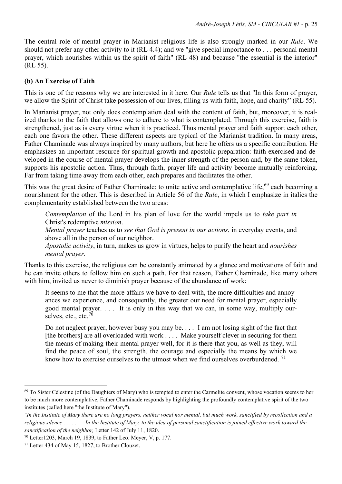The central role of mental prayer in Marianist religious life is also strongly marked in our *Rule*. We should not prefer any other activity to it (RL 4.4); and we "give special importance to . . . personal mental prayer, which nourishes within us the spirit of faith" (RL 48) and because "the essential is the interior" (RL 55).

# **(b) An Exercise of Faith**

This is one of the reasons why we are interested in it here. Our *Rule* tells us that "In this form of prayer, we allow the Spirit of Christ take possession of our lives, filling us with faith, hope, and charity" (RL 55).

In Marianist prayer, not only does contemplation deal with the content of faith, but, moreover, it is realized thanks to the faith that allows one to adhere to what is contemplated. Through this exercise, faith is strengthened, just as is every virtue when it is practiced. Thus mental prayer and faith support each other, each one favors the other. These different aspects are typical of the Marianist tradition. In many areas, Father Chaminade was always inspired by many authors, but here he offers us a specific contribution. He emphasizes an important resource for spiritual growth and apostolic preparation: faith exercised and developed in the course of mental prayer develops the inner strength of the person and, by the same token, supports his apostolic action. Thus, through faith, prayer life and activity become mutually reinforcing. Far from taking time away from each other, each prepares and facilitates the other.

This was the great desire of Father Chaminade: to unite active and contemplative life,<sup>[69](#page-24-0)</sup> each becoming a nourishment for the other. This is described in Article 56 of the *Rule*, in which I emphasize in italics the complementarity established between the two areas:

*Contemplation* of the Lord in his plan of love for the world impels us to *take part in* Christ's redemptive *mission*.

*Mental prayer* teaches us to *see that God is present in our actions*, in everyday events, and above all in the person of our neighbor.

*Apostolic activity*, in turn, makes us grow in virtues, helps to purify the heart and *nourishes mental prayer.*

Thanks to this exercise, the religious can be constantly animated by a glance and motivations of faith and he can invite others to follow him on such a path. For that reason, Father Chaminade, like many others with him, invited us never to diminish prayer because of the abundance of work:

It seems to me that the more affairs we have to deal with, the more difficulties and annoyances we experience, and consequently, the greater our need for mental prayer, especially good mental prayer. . . . It is only in this way that we can, in some way, multiply our-selves, etc., etc.<sup>[70](#page-24-1)</sup>

Do not neglect prayer, however busy you may be. . . . I am not losing sight of the fact that [the brothers] are all overloaded with work . . . . Make yourself clever in securing for them the means of making their mental prayer well, for it is there that you, as well as they, will find the peace of soul, the strength, the courage and especially the means by which we know how to exercise ourselves to the utmost when we find ourselves overburdened.<sup>[71](#page-24-2)</sup>

<span id="page-24-0"></span><sup>&</sup>lt;sup>69</sup> To Sister Célestine (of the Daughters of Mary) who is tempted to enter the Carmelite convent, whose vocation seems to her to be much more contemplative, Father Chaminade responds by highlighting the profoundly contemplative spirit of the two institutes (called here "the Institute of Mary").

<sup>&</sup>quot;*In the Institute of Mary there are no long prayers, neither vocal nor mental, but much work, sanctified by recollection and a religious silence . . . . . In the Institute of Mary, to the idea of personal sanctification is joined effective work toward the sanctification of the neighbor,* Letter 142 of July 11, 1820.

<span id="page-24-1"></span><sup>70</sup> Letter1203, March 19, 1839, to Father Leo. Meyer, V, p. 177.

<span id="page-24-2"></span><sup>71</sup> Letter 434 of May 15, 1827, to Brother Clouzet.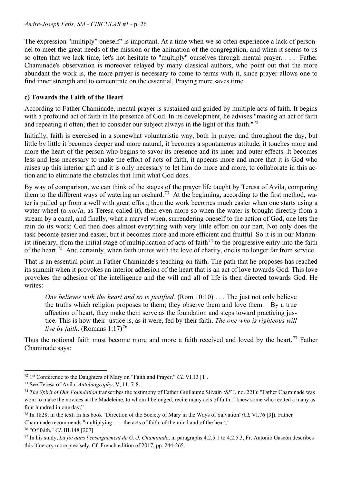The expression "multiply" oneself" is important. At a time when we so often experience a lack of personnel to meet the great needs of the mission or the animation of the congregation, and when it seems to us so often that we lack time, let's not hesitate to "multiply" ourselves through mental prayer. . . . Father Chaminade's observation is moreover relayed by many classical authors, who point out that the more abundant the work is, the more prayer is necessary to come to terms with it, since prayer allows one to find inner strength and to concentrate on the essential. Praying more saves time.

# **c) Towards the Faith of the Heart**

According to Father Chaminade, mental prayer is sustained and guided by multiple acts of faith. It begins with a profound act of faith in the presence of God. In its development, he advises "making an act of faith and repeating it often; then to consider our subject always in the light of this faith."<sup>[72](#page-25-0)</sup>

Initially, faith is exercised in a somewhat voluntaristic way, both in prayer and throughout the day, but little by little it becomes deeper and more natural, it becomes a spontaneous attitude, it touches more and more the heart of the person who begins to savor its presence and its inner and outer effects. It becomes less and less necessary to make the effort of acts of faith, it appears more and more that it is God who raises up this interior gift and it is only necessary to let him do more and more, to collaborate in this action and to eliminate the obstacles that limit what God does.

By way of comparison, we can think of the stages of the prayer life taught by Teresa of Avila, comparing them to the different ways of watering an orchard.<sup>73</sup> At the beginning, according to the first method, water is pulled up from a well with great effort; then the work becomes much easier when one starts using a water wheel (a *noria*, as Teresa called it), then even more so when the water is brought directly from a stream by a canal, and finally, what a marvel when, surrendering oneself to the action of God, one lets the rain do its work: God then does almost everything with very little effort on our part. Not only does the task become easier and easier, but it becomes more and more efficient and fruitful. So it is in our Marian-ist itinerary, from the initial stage of multiplication of acts of faith<sup>[74](#page-25-2)</sup> to the progressive entry into the faith of the heart.[75](#page-25-3) And certainly, when faith unites with the love of charity, one is no longer far from service.

That is an essential point in Father Chaminade's teaching on faith. The path that he proposes has reached its summit when it provokes an interior adhesion of the heart that is an act of love towards God. This love provokes the adhesion of the intelligence and the will and all of life is then directed towards God. He writes:

*One believes with the heart and so is justified.* (Rom 10:10) . . . The just not only believe the truths which religion proposes to them; they observe them and love them. By a true affection of heart, they make them serve as the foundation and steps toward practicing justice. This is how their justice is, as it were, fed by their faith. *The one who is righteous will live by faith.* (Romans  $1:17$ )<sup>[76](#page-25-4)</sup>

Thus the notional faith must become more and more a faith received and loved by the heart.<sup>[77](#page-25-5)</sup> Father Chaminade says:

<span id="page-25-0"></span><sup>72</sup> 1st Conference to the Daughters of Mary on "Faith and Prayer," *CL* VI.13 [1].

<span id="page-25-1"></span><sup>73</sup> See Teresa of Avila, *Autobiography*, V, 11, 7-8.

<span id="page-25-2"></span><sup>74</sup> *The Spirit of Our Foundation* transcribes the testimony of Father Guillaume Silvain *(SF* I, no. 221): "Father Chaminade was wont to make the novices at the Madeleine, to whom I belonged, recite many acts of faith. I knew some who recited a many as four hundred in one day."

<span id="page-25-3"></span><sup>75</sup> In 1828, in the text: In his book "Direction of the Society of Mary in the Ways of Salvation"*(CL* VI.76 [3]), Father Chaminade recommends "multiplying . . . the acts of faith, of the mind and of the heart."

<span id="page-25-4"></span><sup>76</sup> "Of faith," *CL* III.148 [207]

<span id="page-25-5"></span><sup>77</sup> In his study, *La foi dans l'enseignement de G.-J. Chaminade*, in paragraphs 4.2.5.1 to 4.2.5.3, Fr. Antonio Gascón describes this itinerary more precisely, Cf. French edition of 2017, pp. 244-265.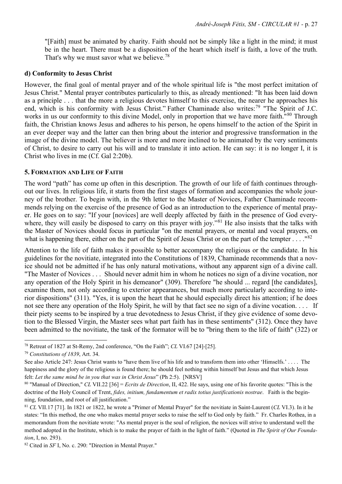"[Faith] must be animated by charity. Faith should not be simply like a light in the mind; it must be in the heart. There must be a disposition of the heart which itself is faith, a love of the truth. That's why we must savor what we believe.<sup>[78](#page-26-0)</sup>

#### **d) Conformity to Jesus Christ**

However, the final goal of mental prayer and of the whole spiritual life is "the most perfect imitation of Jesus Christ." Mental prayer contributes particularly to this, as already mentioned: "It has been laid down as a principle . . . that the more a religious devotes himself to this exercise, the nearer he approaches his end, which is his conformity with Jesus Christ." Father Chaminade also writes:<sup>[79](#page-26-1)</sup> "The Spirit of J.C. works in us our conformity to this divine Model, only in proportion that we have more faith.<sup>"[80](#page-26-2)</sup> Through faith, the Christian knows Jesus and adheres to his person, he opens himself to the action of the Spirit in an ever deeper way and the latter can then bring about the interior and progressive transformation in the image of the divine model. The believer is more and more inclined to be animated by the very sentiments of Christ, to desire to carry out his will and to translate it into action. He can say: it is no longer I, it is Christ who lives in me (Cf. Gal 2:20b).

#### **5. FORMATION AND LIFE OF FAITH**

The word "path" has come up often in this description. The growth of our life of faith continues throughout our lives. In religious life, it starts from the first stages of formation and accompanies the whole journey of the brother. To begin with, in the 9th letter to the Master of Novices, Father Chaminade recommends relying on the exercise of the presence of God as an introduction to the experience of mental prayer. He goes on to say: "If your [novices] are well deeply affected by faith in the presence of God every-where, they will easily be disposed to carry on this prayer with joy."<sup>[81](#page-26-3)</sup> He also insists that the talks with the Master of Novices should focus in particular "on the mental prayers, or mental and vocal prayers, on what is happening there, either on the part of the Spirit of Jesus Christ or on the part of the tempter . . . ."[82](#page-26-4)

Attention to the life of faith makes it possible to better accompany the religious or the candidate. In his guidelines for the novitiate, integrated into the Constitutions of 1839, Chaminade recommends that a novice should not be admitted if he has only natural motivations, without any apparent sign of a divine call. "The Master of Novices . . . Should never admit him in whom he notices no sign of a divine vocation, nor any operation of the Holy Spirit in his demeanor" (309). Therefore "he should ... regard [the candidates], examine them, not only according to exterior appearances, but much more particularly according to interior dispositions" (311). "Yes, it is upon the heart that he should especially direct his attention; if he does not see there any operation of the Holy Spirit, he will by that fact see no sign of a divine vocation. . . . If their piety seems to be inspired by a true devotedness to Jesus Christ, if they give evidence of some devotion to the Blessed Virgin, the Master sees what part faith has in these sentiments" (312). Once they have been admitted to the novitiate, the task of the formator will be to "bring them to the life of faith" (322) or

<span id="page-26-0"></span><sup>78</sup> Retreat of 1827 at St-Remy, 2nd conference, "On the Faith"; *CL* VI.67 [24]-[25].

<span id="page-26-1"></span><sup>79</sup> *Constitutions of 1839*, Art. 34.

See also Article 247: Jesus Christ wants to "have them live of his life and to transform them into other 'Himselfs.' . . . . The happiness and the glory of the religious is found there; he should feel nothing within himself but Jesus and that which Jesus felt: Let the same mind be in you that was in Christ Jesus" (Ph 2:5). [NRSV]<br><sup>80</sup> "Manual of Direction," CL VII.22 [36] = Ecrits de Direction, II, 422. He says, using one of his favorite quotes: "This is the

<span id="page-26-2"></span>doctrine of the Holy Council of Trent, *fides, initium, fundamentum et radix totius justificationis nostrae*. Faith is the beginning, foundation, and root of all justification."

<span id="page-26-3"></span><sup>81</sup> *CL* VII.17 [71]. In 1821 or 1822, he wrote a "Primer of Mental Prayer" for the novitiate in Saint-Laurent (*CL* VI.3). In it he states: "In this method, the one who makes mental prayer seeks to raise the self to God only by faith." Fr. Charles Rothea, in a memorandum from the novitiate wrote: "As mental prayer is the soul of religion, the novices will strive to understand well the method adopted in the Institute, which is to make the prayer of faith in the light of faith." (Quoted in *The Spirit of Our Foundation*, I, no. 293).

<span id="page-26-4"></span><sup>82</sup> Cited in *SF* I, No. c. 290: "Direction in Mental Prayer."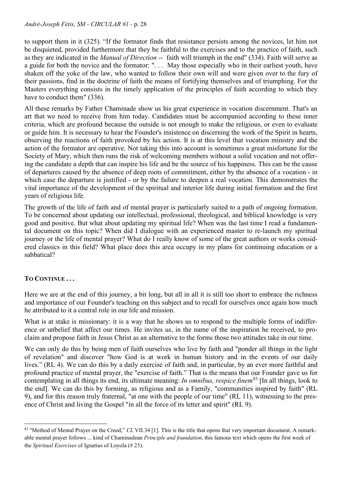to support them in it (325). "If the formator finds that resistance persists among the novices, let him not be disquieted, provided furthermore that they be faithful to the exercises and to the practice of faith, such as they are indicated in the *Manual of Direction* -- faith will triumph in the end" (334). Faith will serve as a guide for both the novice and the formator: ". . . May those especially who in their earliest youth, have shaken off the yoke of the law, who wanted to follow their own will and were given over to the fury of their passions, find in the doctrine of faith the means of fortifying themselves and of triumphing. For the Masters everything consists in the timely application of the principles of faith according to which they have to conduct them" (336).

All these remarks by Father Chaminade show us his great experience in vocation discernment. That's an art that we need to receive from him today. Candidates must be accompanied according to these inner criteria, which are profound because the outside is not enough to make the religious, or even to evaluate or guide him. It is necessary to hear the Founder's insistence on discerning the work of the Spirit in hearts, observing the reactions of faith provoked by his action. It is at this level that vocation ministry and the action of the formator are operative. Not taking this into account is sometimes a great misfortune for the Society of Mary, which then runs the risk of welcoming members without a solid vocation and not offering the candidate a depth that can inspire his life and be the source of his happiness. This can be the cause of departures caused by the absence of deep roots of commitment, either by the absence of a vocation - in which case the departure is justified - or by the failure to deepen a real vocation. This demonstrates the vital importance of the development of the spiritual and interior life during initial formation and the first years of religious life.

The growth of the life of faith and of mental prayer is particularly suited to a path of ongoing formation. To be concerned about updating our intellectual, professional, theological, and biblical knowledge is very good and positive. But what about updating my spiritual life? When was the last time I read a fundamental document on this topic? When did I dialogue with an experienced master to re-launch my spiritual journey or the life of mental prayer? What do I really know of some of the great authors or works considered classics in this field? What place does this area occupy in my plans for continuing education or a sabbatical?

# **TO CONTINUE . . .**

Here we are at the end of this journey, a bit long, but all in all it is still too short to embrace the richness and importance of our Founder's teaching on this subject and to recall for ourselves once again how much he attributed to it a central role in our life and mission.

What is at stake is missionary: it is a way that he shows us to respond to the multiple forms of indifference or unbelief that affect our times. He invites us, in the name of the inspiration he received, to proclaim and propose faith in Jesus Christ as an alternative to the forms those two attitudes take in our time.

We can only do this by being men of faith ourselves who live by faith and "ponder all things in the light of revelation" and discover "how God is at work in human history and in the events of our daily lives." (RL 4). We can do this by a daily exercise of faith and, in particular, by an ever more faithful and profound practice of mental prayer, the "exercise of faith." That is the means that our Founder gave us for contemplating in all things its end, its ultimate meaning: *In omnibus, respice finem*[83](#page-27-0) [In all things, look to the end]. We can do this by forming, as religious and as a Family, "communities inspired by faith" (RL 9), and for this reason truly fraternal, "at one with the people of our time" (RL 11), witnessing to the presence of Christ and living the Gospel "in all the force of its letter and spirit" (RL 9).

<span id="page-27-0"></span><sup>83 &</sup>quot;Method of Mental Prayer on the Creed," *CL* VII.34 [1]. This is the title that opens that very important document. A remarkable mental prayer follows ... kind of Chaminadean *Principle and foundation*, this famous text which opens the first week of the *Spiritual Exercises* of Ignatius of Loyola (# 23).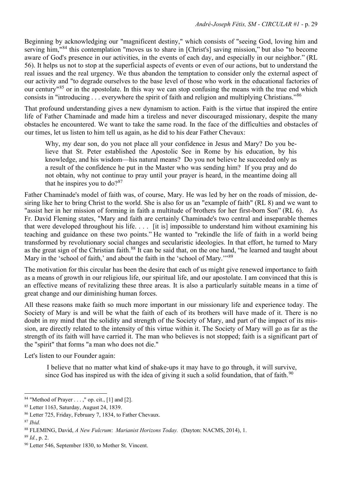Beginning by acknowledging our "magnificent destiny," which consists of "seeing God, loving him and serving him,<sup>"[84](#page-28-0)</sup> this contemplation "moves us to share in [Christ's] saving mission," but also "to become aware of God's presence in our activities, in the events of each day, and especially in our neighbor." (RL 56). It helps us not to stop at the superficial aspects of events or even of our actions, but to understand the real issues and the real urgency. We thus abandon the temptation to consider only the external aspect of our activity and "to degrade ourselves to the base level of those who work in the educational factories of our century<sup>1[85](#page-28-1)</sup> or in the apostolate. In this way we can stop confusing the means with the true end which consists in "introducing . . . everywhere the spirit of faith and religion and multiplying Christians."[86](#page-28-2)

That profound understanding gives a new dynamism to action. Faith is the virtue that inspired the entire life of Father Chaminade and made him a tireless and never discouraged missionary, despite the many obstacles he encountered. We want to take the same road. In the face of the difficulties and obstacles of our times, let us listen to him tell us again, as he did to his dear Father Chevaux:

Why, my dear son, do you not place all your confidence in Jesus and Mary? Do you believe that St. Peter established the Apostolic See in Rome by his education, by his knowledge, and his wisdom—his natural means? Do you not believe he succeeded only as a result of the confidence he put in the Master who was sending him? If you pray and do not obtain, why not continue to pray until your prayer is heard, in the meantime doing all that he inspires you to  $do?$ <sup>[87](#page-28-3)</sup>

Father Chaminade's model of faith was, of course, Mary. He was led by her on the roads of mission, desiring like her to bring Christ to the world. She is also for us an "example of faith" (RL 8) and we want to "assist her in her mission of forming in faith a multitude of brothers for her first-born Son" (RL 6). As Fr. David Fleming states, "Mary and faith are certainly Chaminade's two central and inseparable themes that were developed throughout his life. . . . [it is] impossible to understand him without examining his teaching and guidance on these two points." He wanted to "rekindle the life of faith in a world being transformed by revolutionary social changes and secularistic ideologies. In that effort, he turned to Mary as the great sign of the Christian faith.<sup>[88](#page-28-4)</sup> It can be said that, on the one hand, "he learned and taught about Mary in the 'school of faith,' and about the faith in the 'school of Mary.'"<sup>[89](#page-28-5)</sup>

The motivation for this circular has been the desire that each of us might give renewed importance to faith as a means of growth in our religious life, our spiritual life, and our apostolate. I am convinced that this is an effective means of revitalizing these three areas. It is also a particularly suitable means in a time of great change and our diminishing human forces.

All these reasons make faith so much more important in our missionary life and experience today. The Society of Mary is and will be what the faith of each of its brothers will have made of it. There is no doubt in my mind that the solidity and strength of the Society of Mary, and part of the impact of its mission, are directly related to the intensity of this virtue within it. The Society of Mary will go as far as the strength of its faith will have carried it. The man who believes is not stopped; faith is a significant part of the "spirit" that forms "a man who does not die."

Let's listen to our Founder again:

I believe that no matter what kind of shake-ups it may have to go through, it will survive, since God has inspired us with the idea of giving it such a solid foundation, that of faith.<sup>[90](#page-28-6)</sup>

<span id="page-28-0"></span> $84$  "Method of Prayer . . . ," op. cit., [1] and [2].

<span id="page-28-1"></span><sup>85</sup> Letter 1163, Saturday, August 24, 1839.

<span id="page-28-2"></span><sup>86</sup> Letter 725, Friday, February 7, 1834, to Father Chevaux.

<span id="page-28-3"></span><sup>87</sup> *Ibid.*

<span id="page-28-5"></span><span id="page-28-4"></span><sup>88</sup> FLEMING, David, *A New Fulcrum*: *Marianist Horizons Today.* (Dayton: NACMS, 2014), 1. 89 *Id.*, p. 2.

<span id="page-28-6"></span><sup>90</sup> Letter 546, September 1830, to Mother St. Vincent.